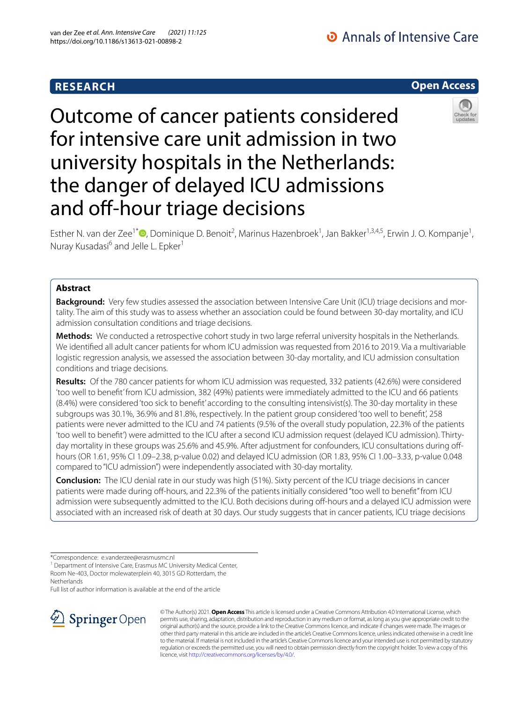# **RESEARCH**

# **Open Access**



Outcome of cancer patients considered for intensive care unit admission in two university hospitals in the Netherlands: the danger of delayed ICU admissions and off-hour triage decisions

Esther N. van der Zee<sup>1\*</sup><sup>®</sup>[,](http://orcid.org/0000-0003-0431-4659) Dominique D. Benoit<sup>2</sup>, Marinus Hazenbroek<sup>1</sup>, Jan Bakker<sup>1,3,4,5</sup>, Erwin J. O. Kompanje<sup>1</sup>, Nuray Kusadasi<sup>6</sup> and Jelle L. Epker<sup>1</sup>

# **Abstract**

**Background:** Very few studies assessed the association between Intensive Care Unit (ICU) triage decisions and mortality. The aim of this study was to assess whether an association could be found between 30-day mortality, and ICU admission consultation conditions and triage decisions.

**Methods:** We conducted a retrospective cohort study in two large referral university hospitals in the Netherlands. We identifed all adult cancer patients for whom ICU admission was requested from 2016 to 2019. Via a multivariable logistic regression analysis, we assessed the association between 30-day mortality, and ICU admission consultation conditions and triage decisions.

**Results:** Of the 780 cancer patients for whom ICU admission was requested, 332 patients (42.6%) were considered 'too well to beneft' from ICU admission, 382 (49%) patients were immediately admitted to the ICU and 66 patients (8.4%) were considered 'too sick to beneft' according to the consulting intensivist(s). The 30-day mortality in these subgroups was 30.1%, 36.9% and 81.8%, respectively. In the patient group considered 'too well to beneft', 258 patients were never admitted to the ICU and 74 patients (9.5% of the overall study population, 22.3% of the patients 'too well to beneft') were admitted to the ICU after a second ICU admission request (delayed ICU admission). Thirtyday mortality in these groups was 25.6% and 45.9%. After adjustment for confounders, ICU consultations during offhours (OR 1.61, 95% CI 1.09–2.38, p-value 0.02) and delayed ICU admission (OR 1.83, 95% CI 1.00–3.33, p-value 0.048 compared to "ICU admission") were independently associated with 30-day mortality.

**Conclusion:** The ICU denial rate in our study was high (51%). Sixty percent of the ICU triage decisions in cancer patients were made during off-hours, and 22.3% of the patients initially considered "too well to benefit" from ICU admission were subsequently admitted to the ICU. Both decisions during off-hours and a delayed ICU admission were associated with an increased risk of death at 30 days. Our study suggests that in cancer patients, ICU triage decisions

Full list of author information is available at the end of the article



© The Author(s) 2021. **Open Access** This article is licensed under a Creative Commons Attribution 4.0 International License, which permits use, sharing, adaptation, distribution and reproduction in any medium or format, as long as you give appropriate credit to the original author(s) and the source, provide a link to the Creative Commons licence, and indicate if changes were made. The images or other third party material in this article are included in the article's Creative Commons licence, unless indicated otherwise in a credit line to the material. If material is not included in the article's Creative Commons licence and your intended use is not permitted by statutory regulation or exceeds the permitted use, you will need to obtain permission directly from the copyright holder. To view a copy of this licence, visit [http://creativecommons.org/licenses/by/4.0/.](http://creativecommons.org/licenses/by/4.0/)

<sup>\*</sup>Correspondence: e.vanderzee@erasmusmc.nl

<sup>&</sup>lt;sup>1</sup> Department of Intensive Care, Erasmus MC University Medical Center, Room Ne-403, Doctor molewaterplein 40, 3015 GD Rotterdam, the Netherlands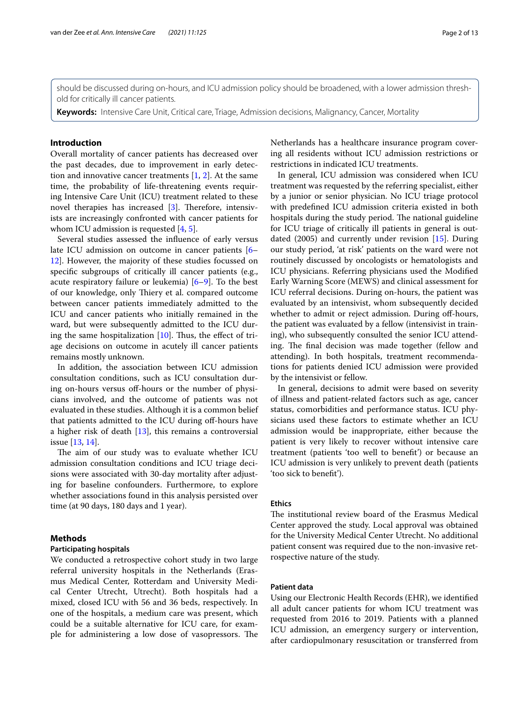should be discussed during on-hours, and ICU admission policy should be broadened, with a lower admission threshold for critically ill cancer patients.

**Keywords:** Intensive Care Unit, Critical care, Triage, Admission decisions, Malignancy, Cancer, Mortality

# **Introduction**

Overall mortality of cancer patients has decreased over the past decades, due to improvement in early detection and innovative cancer treatments  $[1, 2]$  $[1, 2]$  $[1, 2]$  $[1, 2]$ . At the same time, the probability of life-threatening events requiring Intensive Care Unit (ICU) treatment related to these novel therapies has increased [\[3](#page-11-2)]. Therefore, intensivists are increasingly confronted with cancer patients for whom ICU admission is requested [[4,](#page-11-3) [5](#page-11-4)].

Several studies assessed the infuence of early versus late ICU admission on outcome in cancer patients [[6–](#page-11-5) [12\]](#page-11-6). However, the majority of these studies focussed on specifc subgroups of critically ill cancer patients (e.g., acute respiratory failure or leukemia) [[6–](#page-11-5)[9](#page-11-7)]. To the best of our knowledge, only Thiery et al. compared outcome between cancer patients immediately admitted to the ICU and cancer patients who initially remained in the ward, but were subsequently admitted to the ICU during the same hospitalization  $[10]$ . Thus, the effect of triage decisions on outcome in acutely ill cancer patients remains mostly unknown.

In addition, the association between ICU admission consultation conditions, such as ICU consultation during on-hours versus off-hours or the number of physicians involved, and the outcome of patients was not evaluated in these studies. Although it is a common belief that patients admitted to the ICU during of-hours have a higher risk of death [\[13\]](#page-11-9), this remains a controversial issue [\[13](#page-11-9), [14](#page-11-10)].

The aim of our study was to evaluate whether ICU admission consultation conditions and ICU triage decisions were associated with 30-day mortality after adjusting for baseline confounders. Furthermore, to explore whether associations found in this analysis persisted over time (at 90 days, 180 days and 1 year).

### **Methods**

### **Participating hospitals**

We conducted a retrospective cohort study in two large referral university hospitals in the Netherlands (Erasmus Medical Center, Rotterdam and University Medical Center Utrecht, Utrecht). Both hospitals had a mixed, closed ICU with 56 and 36 beds, respectively. In one of the hospitals, a medium care was present, which could be a suitable alternative for ICU care, for example for administering a low dose of vasopressors. The Netherlands has a healthcare insurance program covering all residents without ICU admission restrictions or restrictions in indicated ICU treatments.

In general, ICU admission was considered when ICU treatment was requested by the referring specialist, either by a junior or senior physician. No ICU triage protocol with predefned ICU admission criteria existed in both hospitals during the study period. The national guideline for ICU triage of critically ill patients in general is outdated (2005) and currently under revision [\[15\]](#page-11-11). During our study period, 'at risk' patients on the ward were not routinely discussed by oncologists or hematologists and ICU physicians. Referring physicians used the Modifed Early Warning Score (MEWS) and clinical assessment for ICU referral decisions. During on-hours, the patient was evaluated by an intensivist, whom subsequently decided whether to admit or reject admission. During off-hours, the patient was evaluated by a fellow (intensivist in training), who subsequently consulted the senior ICU attending. The final decision was made together (fellow and attending). In both hospitals, treatment recommendations for patients denied ICU admission were provided by the intensivist or fellow.

In general, decisions to admit were based on severity of illness and patient-related factors such as age, cancer status, comorbidities and performance status. ICU physicians used these factors to estimate whether an ICU admission would be inappropriate, either because the patient is very likely to recover without intensive care treatment (patients 'too well to beneft') or because an ICU admission is very unlikely to prevent death (patients 'too sick to beneft').

# **Ethics**

The institutional review board of the Erasmus Medical Center approved the study. Local approval was obtained for the University Medical Center Utrecht. No additional patient consent was required due to the non-invasive retrospective nature of the study.

# **Patient data**

Using our Electronic Health Records (EHR), we identifed all adult cancer patients for whom ICU treatment was requested from 2016 to 2019. Patients with a planned ICU admission, an emergency surgery or intervention, after cardiopulmonary resuscitation or transferred from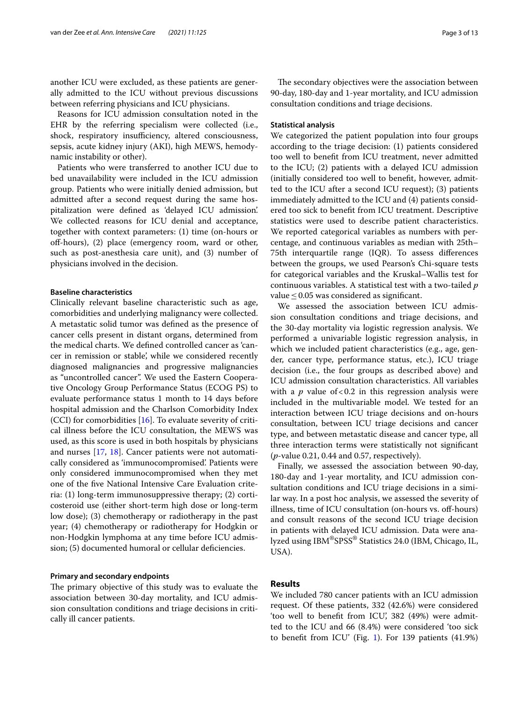another ICU were excluded, as these patients are generally admitted to the ICU without previous discussions between referring physicians and ICU physicians.

Reasons for ICU admission consultation noted in the EHR by the referring specialism were collected (i.e., shock, respiratory insufficiency, altered consciousness, sepsis, acute kidney injury (AKI), high MEWS, hemodynamic instability or other).

Patients who were transferred to another ICU due to bed unavailability were included in the ICU admission group. Patients who were initially denied admission, but admitted after a second request during the same hospitalization were defned as 'delayed ICU admission'. We collected reasons for ICU denial and acceptance, together with context parameters: (1) time (on-hours or off-hours), (2) place (emergency room, ward or other, such as post-anesthesia care unit), and (3) number of physicians involved in the decision.

# **Baseline characteristics**

Clinically relevant baseline characteristic such as age, comorbidities and underlying malignancy were collected. A metastatic solid tumor was defned as the presence of cancer cells present in distant organs, determined from the medical charts. We defned controlled cancer as 'cancer in remission or stable', while we considered recently diagnosed malignancies and progressive malignancies as "uncontrolled cancer". We used the Eastern Cooperative Oncology Group Performance Status (ECOG PS) to evaluate performance status 1 month to 14 days before hospital admission and the Charlson Comorbidity Index (CCI) for comorbidities [[16\]](#page-11-12). To evaluate severity of critical illness before the ICU consultation, the MEWS was used, as this score is used in both hospitals by physicians and nurses [\[17](#page-11-13), [18](#page-11-14)]. Cancer patients were not automatically considered as 'immunocompromised'. Patients were only considered immunocompromised when they met one of the fve National Intensive Care Evaluation criteria: (1) long-term immunosuppressive therapy; (2) corticosteroid use (either short-term high dose or long-term low dose); (3) chemotherapy or radiotherapy in the past year; (4) chemotherapy or radiotherapy for Hodgkin or non-Hodgkin lymphoma at any time before ICU admission; (5) documented humoral or cellular deficiencies.

### **Primary and secondary endpoints**

The primary objective of this study was to evaluate the association between 30-day mortality, and ICU admission consultation conditions and triage decisions in critically ill cancer patients.

The secondary objectives were the association between 90-day, 180-day and 1-year mortality, and ICU admission consultation conditions and triage decisions.

### **Statistical analysis**

We categorized the patient population into four groups according to the triage decision: (1) patients considered too well to beneft from ICU treatment, never admitted to the ICU; (2) patients with a delayed ICU admission (initially considered too well to beneft, however, admitted to the ICU after a second ICU request); (3) patients immediately admitted to the ICU and (4) patients considered too sick to beneft from ICU treatment. Descriptive statistics were used to describe patient characteristics. We reported categorical variables as numbers with percentage, and continuous variables as median with 25th– 75th interquartile range (IQR). To assess diferences between the groups, we used Pearson's Chi-square tests for categorical variables and the Kruskal–Wallis test for continuous variables. A statistical test with a two-tailed *p* value≤0.05 was considered as signifcant.

We assessed the association between ICU admission consultation conditions and triage decisions, and the 30-day mortality via logistic regression analysis. We performed a univariable logistic regression analysis, in which we included patient characteristics (e.g., age, gender, cancer type, performance status, etc.), ICU triage decision (i.e., the four groups as described above) and ICU admission consultation characteristics. All variables with a  $p$  value of < 0.2 in this regression analysis were included in the multivariable model. We tested for an interaction between ICU triage decisions and on-hours consultation, between ICU triage decisions and cancer type, and between metastatic disease and cancer type, all three interaction terms were statistically not signifcant (*p*-value 0.21, 0.44 and 0.57, respectively).

Finally, we assessed the association between 90-day, 180-day and 1-year mortality, and ICU admission consultation conditions and ICU triage decisions in a similar way. In a post hoc analysis, we assessed the severity of illness, time of ICU consultation (on-hours vs. off-hours) and consult reasons of the second ICU triage decision in patients with delayed ICU admission. Data were analyzed using IBM®SPSS® Statistics 24.0 (IBM, Chicago, IL, USA).

# **Results**

We included 780 cancer patients with an ICU admission request. Of these patients, 332 (42.6%) were considered 'too well to beneft from ICU', 382 (49%) were admitted to the ICU and 66 (8.4%) were considered 'too sick to beneft from ICU' (Fig. [1](#page-3-0)). For 139 patients (41.9%)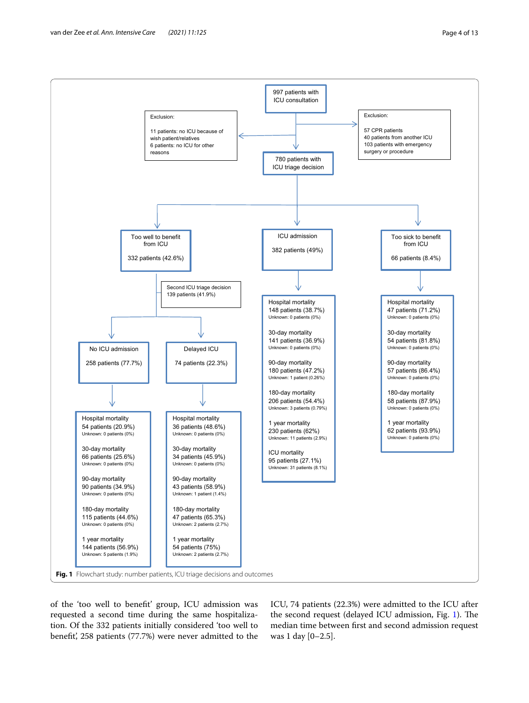

<span id="page-3-0"></span>of the 'too well to beneft' group, ICU admission was requested a second time during the same hospitalization. Of the 332 patients initially considered 'too well to benefit', 258 patients (77.7%) were never admitted to the ICU, 74 patients (22.3%) were admitted to the ICU after the second request (delayed ICU admission, Fig. [1\)](#page-3-0). The median time between frst and second admission request was 1 day [0–2.5].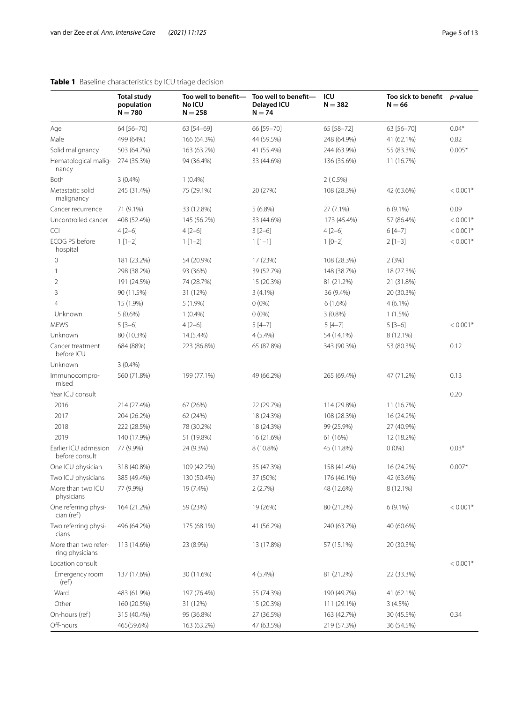<span id="page-4-0"></span>

|                                         | <b>Total study</b><br>population<br>$N = 780$ | Too well to benefit-<br>No ICU<br>$N = 258$ | Too well to benefit-<br>Delayed ICU<br>$N = 74$ | ICU<br>$N = 382$ | Too sick to benefit p-value<br>$N = 66$ |            |
|-----------------------------------------|-----------------------------------------------|---------------------------------------------|-------------------------------------------------|------------------|-----------------------------------------|------------|
| Age                                     | 64 [56-70]                                    | 63 [54-69]                                  | 66 [59-70]                                      | 65 [58-72]       | 63 [56-70]                              | $0.04*$    |
| Male                                    | 499 (64%)                                     | 166 (64.3%)                                 | 44 (59.5%)                                      | 248 (64.9%)      | 41 (62.1%)                              | 0.82       |
| Solid malignancy                        | 503 (64.7%)                                   | 163 (63.2%)                                 | 41 (55.4%)                                      | 244 (63.9%)      | 55 (83.3%)                              | $0.005*$   |
| Hematological malig-<br>nancy           | 274 (35.3%)                                   | 94 (36.4%)                                  | 33 (44.6%)                                      | 136 (35.6%)      | 11 (16.7%)                              |            |
| Both                                    | $3(0.4\%)$                                    | $1(0.4\%)$                                  |                                                 | $2(0.5\%)$       |                                         |            |
| Metastatic solid<br>malignancy          | 245 (31.4%)                                   | 75 (29.1%)                                  | 20 (27%)                                        | 108 (28.3%)      | 42 (63.6%)                              | $< 0.001*$ |
| Cancer recurrence                       | 71 (9.1%)                                     | 33 (12.8%)                                  | 5(6.8%)                                         | 27 (7.1%)        | $6(9.1\%)$                              | 0.09       |
| Uncontrolled cancer                     | 408 (52.4%)                                   | 145 (56.2%)                                 | 33 (44.6%)                                      | 173 (45.4%)      | 57 (86.4%)                              | $< 0.001*$ |
| CCI                                     | $4[2-6]$                                      | $4[2-6]$                                    | $3[2-6]$                                        | $4[2-6]$         | $6[4-7]$                                | $< 0.001*$ |
| ECOG PS before<br>hospital              | $1[1-2]$                                      | $1[1-2]$                                    | $1[1-1]$                                        | $1 [0-2]$        | $2[1-3]$                                | $< 0.001*$ |
| 0                                       | 181 (23.2%)                                   | 54 (20.9%)                                  | 17 (23%)                                        | 108 (28.3%)      | 2(3%)                                   |            |
| 1                                       | 298 (38.2%)                                   | 93 (36%)                                    | 39 (52.7%)                                      | 148 (38.7%)      | 18 (27.3%)                              |            |
| $\overline{2}$                          | 191 (24.5%)                                   | 74 (28.7%)                                  | 15 (20.3%)                                      | 81 (21.2%)       | 21 (31.8%)                              |            |
| 3                                       | 90 (11.5%)                                    | 31 (12%)                                    | $3(4.1\%)$                                      | 36 (9.4%)        | 20 (30.3%)                              |            |
| 4                                       | 15 (1.9%)                                     | $5(1.9\%)$                                  | $0(0\%)$                                        | $6(1.6\%)$       | $4(6.1\%)$                              |            |
| Unknown                                 | $5(0.6\%)$                                    | $1(0.4\%)$                                  | $0(0\%)$                                        | $3(0.8\%)$       | 1(1.5%)                                 |            |
| <b>MEWS</b>                             | $5 [3 - 6]$                                   | $4[2-6]$                                    | $5[4-7]$                                        | $5[4-7]$         | $5[3-6]$                                | $< 0.001*$ |
| Unknown                                 | 80 (10.3%)                                    | 14.(5.4%)                                   | $4(5.4\%)$                                      | 54 (14.1%)       | 8 (12.1%)                               |            |
| Cancer treatment<br>before ICU          | 684 (88%)                                     | 223 (86.8%)                                 | 65 (87.8%)                                      | 343 (90.3%)      | 53 (80.3%)                              | 0.12       |
| Unknown                                 | $3(0.4\%)$                                    |                                             |                                                 |                  |                                         |            |
| Immunocompro-<br>mised                  | 560 (71.8%)                                   | 199 (77.1%)                                 | 49 (66.2%)                                      | 265 (69.4%)      | 47 (71.2%)                              | 0.13       |
| Year ICU consult                        |                                               |                                             |                                                 |                  |                                         | 0.20       |
| 2016                                    | 214 (27.4%)                                   | 67 (26%)                                    | 22 (29.7%)                                      | 114 (29.8%)      | 11 (16.7%)                              |            |
| 2017                                    | 204 (26.2%)                                   | 62 (24%)                                    | 18 (24.3%)                                      | 108 (28.3%)      | 16 (24.2%)                              |            |
| 2018                                    | 222 (28.5%)                                   | 78 (30.2%)                                  | 18 (24.3%)                                      | 99 (25.9%)       | 27 (40.9%)                              |            |
| 2019                                    | 140 (17.9%)                                   | 51 (19.8%)                                  | 16 (21.6%)                                      | 61 (16%)         | 12 (18.2%)                              |            |
| Earlier ICU admission<br>before consult | 77 (9.9%)                                     | 24 (9.3%)                                   | 8 (10.8%)                                       | 45 (11.8%)       | $0(0\%)$                                | $0.03*$    |
| One ICU physician                       | 318 (40.8%)                                   | 109 (42.2%)                                 | 35 (47.3%)                                      | 158 (41.4%)      | 16 (24.2%)                              | $0.007*$   |
| Two ICU physicians                      | 385 (49.4%)                                   | 130 (50.4%)                                 | 37 (50%)                                        | 176 (46.1%)      | 42 (63.6%)                              |            |
| More than two ICU<br>physicians         | 77 (9.9%)                                     | 19 (7.4%)                                   | 2(2.7%)                                         | 48 (12.6%)       | 8 (12.1%)                               |            |
| One referring physi-<br>cian (ref)      | 164 (21.2%)                                   | 59 (23%)                                    | 19 (26%)                                        | 80 (21.2%)       | $6(9.1\%)$                              | $< 0.001*$ |
| Two referring physi-<br>cians           | 496 (64.2%)                                   | 175 (68.1%)                                 | 41 (56.2%)                                      | 240 (63.7%)      | 40 (60.6%)                              |            |
| More than two refer-<br>ring physicians | 113 (14.6%)                                   | 23 (8.9%)                                   | 13 (17.8%)                                      | 57 (15.1%)       | 20 (30.3%)                              |            |
| Location consult                        |                                               |                                             |                                                 |                  |                                         | $< 0.001*$ |
| Emergency room<br>(ref)                 | 137 (17.6%)                                   | 30 (11.6%)                                  | 4 (5.4%)                                        | 81 (21.2%)       | 22 (33.3%)                              |            |
| Ward                                    | 483 (61.9%)                                   | 197 (76.4%)                                 | 55 (74.3%)                                      | 190 (49.7%)      | 41 (62.1%)                              |            |
| Other                                   | 160 (20.5%)                                   | 31 (12%)                                    | 15 (20.3%)                                      | 111 (29.1%)      | 3(4.5%)                                 |            |
| On-hours (ref)                          | 315 (40.4%)                                   | 95 (36.8%)                                  | 27 (36.5%)                                      | 163 (42.7%)      | 30 (45.5%)                              | 0.34       |
| Off-hours                               | 465(59.6%)                                    | 163 (63.2%)                                 | 47 (63.5%)                                      | 219 (57.3%)      | 36 (54.5%)                              |            |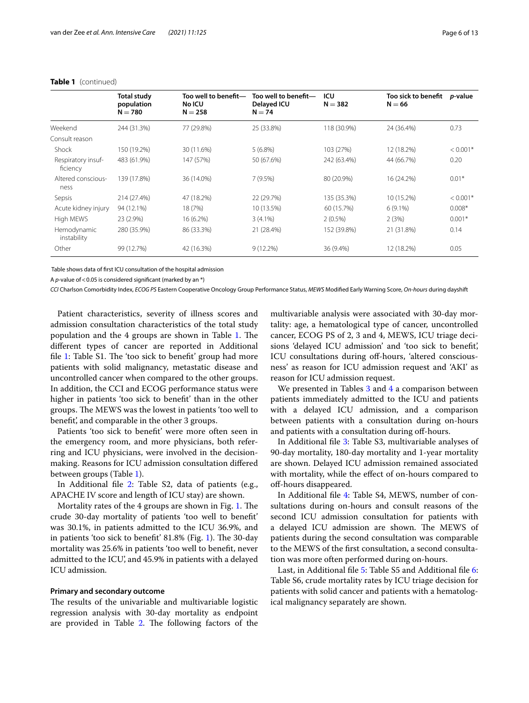|                                | <b>Total study</b><br>population<br>$N = 780$ | Too well to benefit-<br><b>No ICU</b><br>$N = 258$ | Too well to benefit-<br>Delayed ICU<br>$N = 74$ | ICU<br>$N = 382$ | Too sick to benefit<br>$N = 66$ | <i>p</i> -value |
|--------------------------------|-----------------------------------------------|----------------------------------------------------|-------------------------------------------------|------------------|---------------------------------|-----------------|
| Weekend                        | 244 (31.3%)                                   | 77 (29.8%)                                         | 25 (33.8%)                                      | 118 (30.9%)      | 24 (36.4%)                      | 0.73            |
| Consult reason                 |                                               |                                                    |                                                 |                  |                                 |                 |
| Shock                          | 150 (19.2%)                                   | 30 (11.6%)                                         | $5(6.8\%)$                                      | 103 (27%)        | 12 (18.2%)                      | $< 0.001*$      |
| Respiratory insuf-<br>ficiency | 483 (61.9%)                                   | 147 (57%)                                          | 50 (67.6%)                                      | 242 (63.4%)      | 44 (66.7%)                      | 0.20            |
| Altered conscious-<br>ness     | 139 (17.8%)                                   | 36 (14.0%)                                         | 7(9.5%)                                         | 80 (20.9%)       | 16 (24.2%)                      | $0.01*$         |
| Sepsis                         | 214 (27.4%)                                   | 47 (18.2%)                                         | 22 (29.7%)                                      | 135 (35.3%)      | 10 (15.2%)                      | $< 0.001*$      |
| Acute kidney injury            | 94 (12.1%)                                    | 18 (7%)                                            | 10 (13.5%)                                      | 60 (15.7%)       | $6(9.1\%)$                      | $0.008*$        |
| High MEWS                      | 23 (2.9%)                                     | 16 (6.2%)                                          | $3(4.1\%)$                                      | $2(0.5\%)$       | 2(3%)                           | $0.001*$        |
| Hemodynamic<br>instability     | 280 (35.9%)                                   | 86 (33.3%)                                         | 21 (28.4%)                                      | 152 (39.8%)      | 21 (31.8%)                      | 0.14            |
| Other                          | 99 (12.7%)                                    | 42 (16.3%)                                         | $9(12.2\%)$                                     | 36 (9.4%)        | 12 (18.2%)                      | 0.05            |

### **Table 1** (continued)

Table shows data of frst ICU consultation of the hospital admission

A *p*-value of < 0.05 is considered significant (marked by an \*)

*CCI* Charlson Comorbidity Index, *ECOG PS* Eastern Cooperative Oncology Group Performance Status, *MEWS* Modifed Early Warning Score, *On-hours* during dayshift

Patient characteristics, severity of illness scores and admission consultation characteristics of the total study population and the 4 groups are shown in Table [1](#page-4-0). The diferent types of cancer are reported in Additional file [1](#page-10-0): Table S1. The 'too sick to benefit' group had more patients with solid malignancy, metastatic disease and uncontrolled cancer when compared to the other groups. In addition, the CCI and ECOG performance status were higher in patients 'too sick to beneft' than in the other groups. The MEWS was the lowest in patients 'too well to beneft', and comparable in the other 3 groups.

Patients 'too sick to beneft' were more often seen in the emergency room, and more physicians, both referring and ICU physicians, were involved in the decisionmaking. Reasons for ICU admission consultation difered between groups (Table [1\)](#page-4-0).

In Additional file [2](#page-10-1): Table S2, data of patients (e.g., APACHE IV score and length of ICU stay) are shown.

Mortality rates of the 4 groups are shown in Fig. [1](#page-3-0). The crude 30-day mortality of patients 'too well to beneft' was 30.1%, in patients admitted to the ICU 36.9%, and in patients 'too sick to benefit'  $81.8\%$  (Fig. [1\)](#page-3-0). The 30-day mortality was 25.6% in patients 'too well to beneft, never admitted to the ICU', and 45.9% in patients with a delayed ICU admission.

### **Primary and secondary outcome**

The results of the univariable and multivariable logistic regression analysis with 30-day mortality as endpoint are provided in Table  $2$ . The following factors of the

multivariable analysis were associated with 30-day mortality: age, a hematological type of cancer, uncontrolled cancer, ECOG PS of 2, 3 and 4, MEWS, ICU triage decisions 'delayed ICU admission' and 'too sick to beneft', ICU consultations during off-hours, 'altered consciousness' as reason for ICU admission request and 'AKI' as reason for ICU admission request.

We presented in Tables  $3$  and  $4$  a comparison between patients immediately admitted to the ICU and patients with a delayed ICU admission, and a comparison between patients with a consultation during on-hours and patients with a consultation during off-hours.

In Additional fle [3](#page-10-3): Table S3, multivariable analyses of 90-day mortality, 180-day mortality and 1-year mortality are shown. Delayed ICU admission remained associated with mortality, while the efect of on-hours compared to of-hours disappeared.

In Additional fle [4:](#page-10-4) Table S4, MEWS, number of consultations during on-hours and consult reasons of the second ICU admission consultation for patients with a delayed ICU admission are shown. The MEWS of patients during the second consultation was comparable to the MEWS of the frst consultation, a second consultation was more often performed during on-hours.

Last, in Additional fle [5](#page-10-5): Table S5 and Additional fle [6](#page-10-6): Table S6, crude mortality rates by ICU triage decision for patients with solid cancer and patients with a hematological malignancy separately are shown.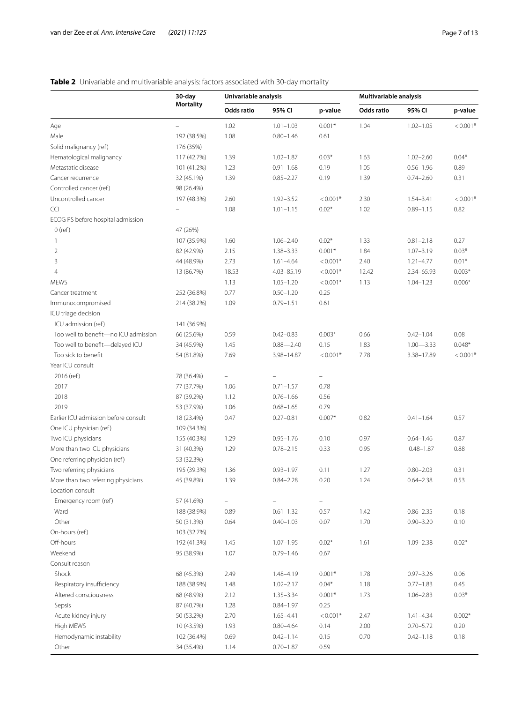<span id="page-6-0"></span>

| <b>Mortality</b><br>Odds ratio<br>Odds ratio<br>95% CI<br>p-value<br>95% CI<br>Age<br>1.02<br>$1.01 - 1.03$<br>$0.001*$<br>1.04<br>$1.02 - 1.05$<br>Male<br>192 (38.5%)<br>1.08<br>$0.80 - 1.46$<br>0.61<br>Solid malignancy (ref)<br>176 (35%)<br>Hematological malignancy<br>$0.03*$<br>117 (42.7%)<br>1.39<br>$1.02 - 1.87$<br>1.63<br>$1.02 - 2.60$<br>Metastatic disease<br>1.23<br>$0.91 - 1.68$<br>0.19<br>1.05<br>$0.56 - 1.96$<br>101 (41.2%)<br>Cancer recurrence<br>32 (45.1%)<br>1.39<br>$0.85 - 2.27$<br>0.19<br>1.39<br>$0.74 - 2.60$<br>Controlled cancer (ref)<br>98 (26.4%)<br>Uncontrolled cancer<br>197 (48.3%)<br>2.60<br>$1.92 - 3.52$<br>$< 0.001*$<br>2.30<br>$1.54 - 3.41$<br>1.08<br>$0.02*$<br>1.02<br>$0.89 - 1.15$<br><b>CCI</b><br>$1.01 - 1.15$<br>ECOG PS before hospital admission<br>$0$ (ref)<br>47 (26%)<br>$0.02*$<br>1.33<br>1<br>107 (35.9%)<br>1.60<br>$1.06 - 2.40$<br>$0.81 - 2.18$<br>$\overline{2}$<br>2.15<br>$1.38 - 3.33$<br>$0.001*$<br>1.84<br>$1.07 - 3.19$<br>82 (42.9%)<br>3<br>2.73<br>2.40<br>44 (48.9%)<br>$1.61 - 4.64$<br>$< 0.001*$<br>$1.21 - 4.77$<br>18.53<br>4.03-85.19<br>4<br>13 (86.7%)<br>$< 0.001*$<br>12.42<br>2.34-65.93<br><b>MEWS</b><br>1.13<br>$1.05 - 1.20$<br>$< 0.001*$<br>1.13<br>$1.04 - 1.23$<br>0.77<br>$0.50 - 1.20$<br>0.25<br>252 (36.8%)<br>Cancer treatment<br>1.09<br>0.61<br>Immunocompromised<br>214 (38.2%)<br>$0.79 - 1.51$<br>ICU triage decision<br>ICU admission (ref)<br>141 (36.9%)<br>Too well to benefit-no ICU admission<br>66 (25.6%)<br>0.59<br>$0.003*$<br>0.66<br>$0.42 - 0.83$<br>$0.42 - 1.04$<br>Too well to benefit-delayed ICU<br>34 (45.9%)<br>1.45<br>$0.88 - 2.40$<br>0.15<br>1.83<br>$1.00 - 3.33$<br>Too sick to benefit<br>7.69<br>$< 0.001*$<br>7.78<br>3.38-17.89<br>54 (81.8%)<br>3.98-14.87<br>Year ICU consult<br>2016 (ref)<br>78 (36.4%)<br>$\overline{\phantom{0}}$<br>$\overline{\phantom{a}}$<br>2017<br>1.06<br>$0.71 - 1.57$<br>0.78<br>77 (37.7%)<br>2018<br>87 (39.2%)<br>1.12<br>$0.76 - 1.66$<br>0.56<br>2019<br>53 (37.9%)<br>1.06<br>$0.68 - 1.65$<br>0.79<br>Earlier ICU admission before consult<br>18 (23.4%)<br>0.47<br>$0.27 - 0.81$<br>$0.007*$<br>0.82<br>$0.41 - 1.64$<br>One ICU physician (ref)<br>109 (34.3%)<br>Two ICU physicians<br>0.97<br>155 (40.3%)<br>1.29<br>$0.95 - 1.76$<br>0.10<br>$0.64 - 1.46$<br>More than two ICU physicians<br>1.29<br>0.33<br>0.95<br>31 (40.3%)<br>$0.78 - 2.15$<br>$0.48 - 1.87$<br>One referring physician (ref)<br>53 (32.3%)<br>Two referring physicians<br>$0.93 - 1.97$<br>0.11<br>1.27<br>$0.80 - 2.03$<br>195 (39.3%)<br>1.36<br>More than two referring physicians<br>45 (39.8%)<br>1.39<br>$0.84 - 2.28$<br>0.20<br>1.24<br>$0.64 - 2.38$<br>Location consult<br>57 (41.6%)<br>Emergency room (ref)<br>$\qquad \qquad -$<br>$\overline{\phantom{0}}$<br>Ward<br>188 (38.9%)<br>0.89<br>$0.61 - 1.32$<br>0.57<br>1.42<br>$0.86 - 2.35$<br>Other<br>0.64<br>$0.40 - 1.03$<br>0.07<br>1.70<br>$0.90 - 3.20$<br>50 (31.3%)<br>On-hours (ref)<br>103 (32.7%)<br>Off-hours<br>$0.02*$<br>1.61<br>192 (41.3%)<br>1.45<br>$1.07 - 1.95$<br>$1.09 - 2.38$<br>Weekend<br>95 (38.9%)<br>1.07<br>0.67<br>$0.79 - 1.46$<br>Consult reason<br>Shock<br>68 (45.3%)<br>2.49<br>$0.001*$<br>1.78<br>$0.97 - 3.26$<br>1.48-4.19<br>Respiratory insufficiency<br>1.48<br>$0.04*$<br>1.18<br>188 (38.9%)<br>$1.02 - 2.17$<br>$0.77 - 1.83$<br>2.12<br>$0.001*$<br>1.73<br>Altered consciousness<br>68 (48.9%)<br>$1.35 - 3.34$<br>$1.06 - 2.83$<br>1.28<br>0.25<br>Sepsis<br>87 (40.7%)<br>$0.84 - 1.97$<br>2.70<br>$< 0.001*$<br>2.47<br>Acute kidney injury<br>50 (53.2%)<br>$1.65 - 4.41$<br>$1.41 - 4.34$ | 30-day | Univariable analysis |  |  | Multivariable analysis |  |            |
|-------------------------------------------------------------------------------------------------------------------------------------------------------------------------------------------------------------------------------------------------------------------------------------------------------------------------------------------------------------------------------------------------------------------------------------------------------------------------------------------------------------------------------------------------------------------------------------------------------------------------------------------------------------------------------------------------------------------------------------------------------------------------------------------------------------------------------------------------------------------------------------------------------------------------------------------------------------------------------------------------------------------------------------------------------------------------------------------------------------------------------------------------------------------------------------------------------------------------------------------------------------------------------------------------------------------------------------------------------------------------------------------------------------------------------------------------------------------------------------------------------------------------------------------------------------------------------------------------------------------------------------------------------------------------------------------------------------------------------------------------------------------------------------------------------------------------------------------------------------------------------------------------------------------------------------------------------------------------------------------------------------------------------------------------------------------------------------------------------------------------------------------------------------------------------------------------------------------------------------------------------------------------------------------------------------------------------------------------------------------------------------------------------------------------------------------------------------------------------------------------------------------------------------------------------------------------------------------------------------------------------------------------------------------------------------------------------------------------------------------------------------------------------------------------------------------------------------------------------------------------------------------------------------------------------------------------------------------------------------------------------------------------------------------------------------------------------------------------------------------------------------------------------------------------------------------------------------------------------------------------------------------------------------------------------------------------------------------------------------------------------------------------------------------------------------------------------------------------------------------------------------------------------------------------------------------------------------------------------------------------------------------------------------------------------------|--------|----------------------|--|--|------------------------|--|------------|
|                                                                                                                                                                                                                                                                                                                                                                                                                                                                                                                                                                                                                                                                                                                                                                                                                                                                                                                                                                                                                                                                                                                                                                                                                                                                                                                                                                                                                                                                                                                                                                                                                                                                                                                                                                                                                                                                                                                                                                                                                                                                                                                                                                                                                                                                                                                                                                                                                                                                                                                                                                                                                                                                                                                                                                                                                                                                                                                                                                                                                                                                                                                                                                                                                                                                                                                                                                                                                                                                                                                                                                                                                                                                                     |        |                      |  |  |                        |  | p-value    |
|                                                                                                                                                                                                                                                                                                                                                                                                                                                                                                                                                                                                                                                                                                                                                                                                                                                                                                                                                                                                                                                                                                                                                                                                                                                                                                                                                                                                                                                                                                                                                                                                                                                                                                                                                                                                                                                                                                                                                                                                                                                                                                                                                                                                                                                                                                                                                                                                                                                                                                                                                                                                                                                                                                                                                                                                                                                                                                                                                                                                                                                                                                                                                                                                                                                                                                                                                                                                                                                                                                                                                                                                                                                                                     |        |                      |  |  |                        |  | $< 0.001*$ |
|                                                                                                                                                                                                                                                                                                                                                                                                                                                                                                                                                                                                                                                                                                                                                                                                                                                                                                                                                                                                                                                                                                                                                                                                                                                                                                                                                                                                                                                                                                                                                                                                                                                                                                                                                                                                                                                                                                                                                                                                                                                                                                                                                                                                                                                                                                                                                                                                                                                                                                                                                                                                                                                                                                                                                                                                                                                                                                                                                                                                                                                                                                                                                                                                                                                                                                                                                                                                                                                                                                                                                                                                                                                                                     |        |                      |  |  |                        |  |            |
|                                                                                                                                                                                                                                                                                                                                                                                                                                                                                                                                                                                                                                                                                                                                                                                                                                                                                                                                                                                                                                                                                                                                                                                                                                                                                                                                                                                                                                                                                                                                                                                                                                                                                                                                                                                                                                                                                                                                                                                                                                                                                                                                                                                                                                                                                                                                                                                                                                                                                                                                                                                                                                                                                                                                                                                                                                                                                                                                                                                                                                                                                                                                                                                                                                                                                                                                                                                                                                                                                                                                                                                                                                                                                     |        |                      |  |  |                        |  |            |
|                                                                                                                                                                                                                                                                                                                                                                                                                                                                                                                                                                                                                                                                                                                                                                                                                                                                                                                                                                                                                                                                                                                                                                                                                                                                                                                                                                                                                                                                                                                                                                                                                                                                                                                                                                                                                                                                                                                                                                                                                                                                                                                                                                                                                                                                                                                                                                                                                                                                                                                                                                                                                                                                                                                                                                                                                                                                                                                                                                                                                                                                                                                                                                                                                                                                                                                                                                                                                                                                                                                                                                                                                                                                                     |        |                      |  |  |                        |  | $0.04*$    |
|                                                                                                                                                                                                                                                                                                                                                                                                                                                                                                                                                                                                                                                                                                                                                                                                                                                                                                                                                                                                                                                                                                                                                                                                                                                                                                                                                                                                                                                                                                                                                                                                                                                                                                                                                                                                                                                                                                                                                                                                                                                                                                                                                                                                                                                                                                                                                                                                                                                                                                                                                                                                                                                                                                                                                                                                                                                                                                                                                                                                                                                                                                                                                                                                                                                                                                                                                                                                                                                                                                                                                                                                                                                                                     |        |                      |  |  |                        |  | 0.89       |
|                                                                                                                                                                                                                                                                                                                                                                                                                                                                                                                                                                                                                                                                                                                                                                                                                                                                                                                                                                                                                                                                                                                                                                                                                                                                                                                                                                                                                                                                                                                                                                                                                                                                                                                                                                                                                                                                                                                                                                                                                                                                                                                                                                                                                                                                                                                                                                                                                                                                                                                                                                                                                                                                                                                                                                                                                                                                                                                                                                                                                                                                                                                                                                                                                                                                                                                                                                                                                                                                                                                                                                                                                                                                                     |        |                      |  |  |                        |  | 0.31       |
|                                                                                                                                                                                                                                                                                                                                                                                                                                                                                                                                                                                                                                                                                                                                                                                                                                                                                                                                                                                                                                                                                                                                                                                                                                                                                                                                                                                                                                                                                                                                                                                                                                                                                                                                                                                                                                                                                                                                                                                                                                                                                                                                                                                                                                                                                                                                                                                                                                                                                                                                                                                                                                                                                                                                                                                                                                                                                                                                                                                                                                                                                                                                                                                                                                                                                                                                                                                                                                                                                                                                                                                                                                                                                     |        |                      |  |  |                        |  |            |
|                                                                                                                                                                                                                                                                                                                                                                                                                                                                                                                                                                                                                                                                                                                                                                                                                                                                                                                                                                                                                                                                                                                                                                                                                                                                                                                                                                                                                                                                                                                                                                                                                                                                                                                                                                                                                                                                                                                                                                                                                                                                                                                                                                                                                                                                                                                                                                                                                                                                                                                                                                                                                                                                                                                                                                                                                                                                                                                                                                                                                                                                                                                                                                                                                                                                                                                                                                                                                                                                                                                                                                                                                                                                                     |        |                      |  |  |                        |  | $< 0.001*$ |
|                                                                                                                                                                                                                                                                                                                                                                                                                                                                                                                                                                                                                                                                                                                                                                                                                                                                                                                                                                                                                                                                                                                                                                                                                                                                                                                                                                                                                                                                                                                                                                                                                                                                                                                                                                                                                                                                                                                                                                                                                                                                                                                                                                                                                                                                                                                                                                                                                                                                                                                                                                                                                                                                                                                                                                                                                                                                                                                                                                                                                                                                                                                                                                                                                                                                                                                                                                                                                                                                                                                                                                                                                                                                                     |        |                      |  |  |                        |  | 0.82       |
|                                                                                                                                                                                                                                                                                                                                                                                                                                                                                                                                                                                                                                                                                                                                                                                                                                                                                                                                                                                                                                                                                                                                                                                                                                                                                                                                                                                                                                                                                                                                                                                                                                                                                                                                                                                                                                                                                                                                                                                                                                                                                                                                                                                                                                                                                                                                                                                                                                                                                                                                                                                                                                                                                                                                                                                                                                                                                                                                                                                                                                                                                                                                                                                                                                                                                                                                                                                                                                                                                                                                                                                                                                                                                     |        |                      |  |  |                        |  |            |
|                                                                                                                                                                                                                                                                                                                                                                                                                                                                                                                                                                                                                                                                                                                                                                                                                                                                                                                                                                                                                                                                                                                                                                                                                                                                                                                                                                                                                                                                                                                                                                                                                                                                                                                                                                                                                                                                                                                                                                                                                                                                                                                                                                                                                                                                                                                                                                                                                                                                                                                                                                                                                                                                                                                                                                                                                                                                                                                                                                                                                                                                                                                                                                                                                                                                                                                                                                                                                                                                                                                                                                                                                                                                                     |        |                      |  |  |                        |  |            |
|                                                                                                                                                                                                                                                                                                                                                                                                                                                                                                                                                                                                                                                                                                                                                                                                                                                                                                                                                                                                                                                                                                                                                                                                                                                                                                                                                                                                                                                                                                                                                                                                                                                                                                                                                                                                                                                                                                                                                                                                                                                                                                                                                                                                                                                                                                                                                                                                                                                                                                                                                                                                                                                                                                                                                                                                                                                                                                                                                                                                                                                                                                                                                                                                                                                                                                                                                                                                                                                                                                                                                                                                                                                                                     |        |                      |  |  |                        |  | 0.27       |
|                                                                                                                                                                                                                                                                                                                                                                                                                                                                                                                                                                                                                                                                                                                                                                                                                                                                                                                                                                                                                                                                                                                                                                                                                                                                                                                                                                                                                                                                                                                                                                                                                                                                                                                                                                                                                                                                                                                                                                                                                                                                                                                                                                                                                                                                                                                                                                                                                                                                                                                                                                                                                                                                                                                                                                                                                                                                                                                                                                                                                                                                                                                                                                                                                                                                                                                                                                                                                                                                                                                                                                                                                                                                                     |        |                      |  |  |                        |  | $0.03*$    |
|                                                                                                                                                                                                                                                                                                                                                                                                                                                                                                                                                                                                                                                                                                                                                                                                                                                                                                                                                                                                                                                                                                                                                                                                                                                                                                                                                                                                                                                                                                                                                                                                                                                                                                                                                                                                                                                                                                                                                                                                                                                                                                                                                                                                                                                                                                                                                                                                                                                                                                                                                                                                                                                                                                                                                                                                                                                                                                                                                                                                                                                                                                                                                                                                                                                                                                                                                                                                                                                                                                                                                                                                                                                                                     |        |                      |  |  |                        |  | $0.01*$    |
|                                                                                                                                                                                                                                                                                                                                                                                                                                                                                                                                                                                                                                                                                                                                                                                                                                                                                                                                                                                                                                                                                                                                                                                                                                                                                                                                                                                                                                                                                                                                                                                                                                                                                                                                                                                                                                                                                                                                                                                                                                                                                                                                                                                                                                                                                                                                                                                                                                                                                                                                                                                                                                                                                                                                                                                                                                                                                                                                                                                                                                                                                                                                                                                                                                                                                                                                                                                                                                                                                                                                                                                                                                                                                     |        |                      |  |  |                        |  | $0.003*$   |
|                                                                                                                                                                                                                                                                                                                                                                                                                                                                                                                                                                                                                                                                                                                                                                                                                                                                                                                                                                                                                                                                                                                                                                                                                                                                                                                                                                                                                                                                                                                                                                                                                                                                                                                                                                                                                                                                                                                                                                                                                                                                                                                                                                                                                                                                                                                                                                                                                                                                                                                                                                                                                                                                                                                                                                                                                                                                                                                                                                                                                                                                                                                                                                                                                                                                                                                                                                                                                                                                                                                                                                                                                                                                                     |        |                      |  |  |                        |  | $0.006*$   |
|                                                                                                                                                                                                                                                                                                                                                                                                                                                                                                                                                                                                                                                                                                                                                                                                                                                                                                                                                                                                                                                                                                                                                                                                                                                                                                                                                                                                                                                                                                                                                                                                                                                                                                                                                                                                                                                                                                                                                                                                                                                                                                                                                                                                                                                                                                                                                                                                                                                                                                                                                                                                                                                                                                                                                                                                                                                                                                                                                                                                                                                                                                                                                                                                                                                                                                                                                                                                                                                                                                                                                                                                                                                                                     |        |                      |  |  |                        |  |            |
|                                                                                                                                                                                                                                                                                                                                                                                                                                                                                                                                                                                                                                                                                                                                                                                                                                                                                                                                                                                                                                                                                                                                                                                                                                                                                                                                                                                                                                                                                                                                                                                                                                                                                                                                                                                                                                                                                                                                                                                                                                                                                                                                                                                                                                                                                                                                                                                                                                                                                                                                                                                                                                                                                                                                                                                                                                                                                                                                                                                                                                                                                                                                                                                                                                                                                                                                                                                                                                                                                                                                                                                                                                                                                     |        |                      |  |  |                        |  |            |
|                                                                                                                                                                                                                                                                                                                                                                                                                                                                                                                                                                                                                                                                                                                                                                                                                                                                                                                                                                                                                                                                                                                                                                                                                                                                                                                                                                                                                                                                                                                                                                                                                                                                                                                                                                                                                                                                                                                                                                                                                                                                                                                                                                                                                                                                                                                                                                                                                                                                                                                                                                                                                                                                                                                                                                                                                                                                                                                                                                                                                                                                                                                                                                                                                                                                                                                                                                                                                                                                                                                                                                                                                                                                                     |        |                      |  |  |                        |  |            |
|                                                                                                                                                                                                                                                                                                                                                                                                                                                                                                                                                                                                                                                                                                                                                                                                                                                                                                                                                                                                                                                                                                                                                                                                                                                                                                                                                                                                                                                                                                                                                                                                                                                                                                                                                                                                                                                                                                                                                                                                                                                                                                                                                                                                                                                                                                                                                                                                                                                                                                                                                                                                                                                                                                                                                                                                                                                                                                                                                                                                                                                                                                                                                                                                                                                                                                                                                                                                                                                                                                                                                                                                                                                                                     |        |                      |  |  |                        |  |            |
|                                                                                                                                                                                                                                                                                                                                                                                                                                                                                                                                                                                                                                                                                                                                                                                                                                                                                                                                                                                                                                                                                                                                                                                                                                                                                                                                                                                                                                                                                                                                                                                                                                                                                                                                                                                                                                                                                                                                                                                                                                                                                                                                                                                                                                                                                                                                                                                                                                                                                                                                                                                                                                                                                                                                                                                                                                                                                                                                                                                                                                                                                                                                                                                                                                                                                                                                                                                                                                                                                                                                                                                                                                                                                     |        |                      |  |  |                        |  | 0.08       |
|                                                                                                                                                                                                                                                                                                                                                                                                                                                                                                                                                                                                                                                                                                                                                                                                                                                                                                                                                                                                                                                                                                                                                                                                                                                                                                                                                                                                                                                                                                                                                                                                                                                                                                                                                                                                                                                                                                                                                                                                                                                                                                                                                                                                                                                                                                                                                                                                                                                                                                                                                                                                                                                                                                                                                                                                                                                                                                                                                                                                                                                                                                                                                                                                                                                                                                                                                                                                                                                                                                                                                                                                                                                                                     |        |                      |  |  |                        |  | $0.048*$   |
|                                                                                                                                                                                                                                                                                                                                                                                                                                                                                                                                                                                                                                                                                                                                                                                                                                                                                                                                                                                                                                                                                                                                                                                                                                                                                                                                                                                                                                                                                                                                                                                                                                                                                                                                                                                                                                                                                                                                                                                                                                                                                                                                                                                                                                                                                                                                                                                                                                                                                                                                                                                                                                                                                                                                                                                                                                                                                                                                                                                                                                                                                                                                                                                                                                                                                                                                                                                                                                                                                                                                                                                                                                                                                     |        |                      |  |  |                        |  | $< 0.001*$ |
|                                                                                                                                                                                                                                                                                                                                                                                                                                                                                                                                                                                                                                                                                                                                                                                                                                                                                                                                                                                                                                                                                                                                                                                                                                                                                                                                                                                                                                                                                                                                                                                                                                                                                                                                                                                                                                                                                                                                                                                                                                                                                                                                                                                                                                                                                                                                                                                                                                                                                                                                                                                                                                                                                                                                                                                                                                                                                                                                                                                                                                                                                                                                                                                                                                                                                                                                                                                                                                                                                                                                                                                                                                                                                     |        |                      |  |  |                        |  |            |
|                                                                                                                                                                                                                                                                                                                                                                                                                                                                                                                                                                                                                                                                                                                                                                                                                                                                                                                                                                                                                                                                                                                                                                                                                                                                                                                                                                                                                                                                                                                                                                                                                                                                                                                                                                                                                                                                                                                                                                                                                                                                                                                                                                                                                                                                                                                                                                                                                                                                                                                                                                                                                                                                                                                                                                                                                                                                                                                                                                                                                                                                                                                                                                                                                                                                                                                                                                                                                                                                                                                                                                                                                                                                                     |        |                      |  |  |                        |  |            |
|                                                                                                                                                                                                                                                                                                                                                                                                                                                                                                                                                                                                                                                                                                                                                                                                                                                                                                                                                                                                                                                                                                                                                                                                                                                                                                                                                                                                                                                                                                                                                                                                                                                                                                                                                                                                                                                                                                                                                                                                                                                                                                                                                                                                                                                                                                                                                                                                                                                                                                                                                                                                                                                                                                                                                                                                                                                                                                                                                                                                                                                                                                                                                                                                                                                                                                                                                                                                                                                                                                                                                                                                                                                                                     |        |                      |  |  |                        |  |            |
|                                                                                                                                                                                                                                                                                                                                                                                                                                                                                                                                                                                                                                                                                                                                                                                                                                                                                                                                                                                                                                                                                                                                                                                                                                                                                                                                                                                                                                                                                                                                                                                                                                                                                                                                                                                                                                                                                                                                                                                                                                                                                                                                                                                                                                                                                                                                                                                                                                                                                                                                                                                                                                                                                                                                                                                                                                                                                                                                                                                                                                                                                                                                                                                                                                                                                                                                                                                                                                                                                                                                                                                                                                                                                     |        |                      |  |  |                        |  |            |
|                                                                                                                                                                                                                                                                                                                                                                                                                                                                                                                                                                                                                                                                                                                                                                                                                                                                                                                                                                                                                                                                                                                                                                                                                                                                                                                                                                                                                                                                                                                                                                                                                                                                                                                                                                                                                                                                                                                                                                                                                                                                                                                                                                                                                                                                                                                                                                                                                                                                                                                                                                                                                                                                                                                                                                                                                                                                                                                                                                                                                                                                                                                                                                                                                                                                                                                                                                                                                                                                                                                                                                                                                                                                                     |        |                      |  |  |                        |  |            |
|                                                                                                                                                                                                                                                                                                                                                                                                                                                                                                                                                                                                                                                                                                                                                                                                                                                                                                                                                                                                                                                                                                                                                                                                                                                                                                                                                                                                                                                                                                                                                                                                                                                                                                                                                                                                                                                                                                                                                                                                                                                                                                                                                                                                                                                                                                                                                                                                                                                                                                                                                                                                                                                                                                                                                                                                                                                                                                                                                                                                                                                                                                                                                                                                                                                                                                                                                                                                                                                                                                                                                                                                                                                                                     |        |                      |  |  |                        |  | 0.57       |
|                                                                                                                                                                                                                                                                                                                                                                                                                                                                                                                                                                                                                                                                                                                                                                                                                                                                                                                                                                                                                                                                                                                                                                                                                                                                                                                                                                                                                                                                                                                                                                                                                                                                                                                                                                                                                                                                                                                                                                                                                                                                                                                                                                                                                                                                                                                                                                                                                                                                                                                                                                                                                                                                                                                                                                                                                                                                                                                                                                                                                                                                                                                                                                                                                                                                                                                                                                                                                                                                                                                                                                                                                                                                                     |        |                      |  |  |                        |  |            |
|                                                                                                                                                                                                                                                                                                                                                                                                                                                                                                                                                                                                                                                                                                                                                                                                                                                                                                                                                                                                                                                                                                                                                                                                                                                                                                                                                                                                                                                                                                                                                                                                                                                                                                                                                                                                                                                                                                                                                                                                                                                                                                                                                                                                                                                                                                                                                                                                                                                                                                                                                                                                                                                                                                                                                                                                                                                                                                                                                                                                                                                                                                                                                                                                                                                                                                                                                                                                                                                                                                                                                                                                                                                                                     |        |                      |  |  |                        |  | 0.87       |
|                                                                                                                                                                                                                                                                                                                                                                                                                                                                                                                                                                                                                                                                                                                                                                                                                                                                                                                                                                                                                                                                                                                                                                                                                                                                                                                                                                                                                                                                                                                                                                                                                                                                                                                                                                                                                                                                                                                                                                                                                                                                                                                                                                                                                                                                                                                                                                                                                                                                                                                                                                                                                                                                                                                                                                                                                                                                                                                                                                                                                                                                                                                                                                                                                                                                                                                                                                                                                                                                                                                                                                                                                                                                                     |        |                      |  |  |                        |  | 0.88       |
|                                                                                                                                                                                                                                                                                                                                                                                                                                                                                                                                                                                                                                                                                                                                                                                                                                                                                                                                                                                                                                                                                                                                                                                                                                                                                                                                                                                                                                                                                                                                                                                                                                                                                                                                                                                                                                                                                                                                                                                                                                                                                                                                                                                                                                                                                                                                                                                                                                                                                                                                                                                                                                                                                                                                                                                                                                                                                                                                                                                                                                                                                                                                                                                                                                                                                                                                                                                                                                                                                                                                                                                                                                                                                     |        |                      |  |  |                        |  |            |
|                                                                                                                                                                                                                                                                                                                                                                                                                                                                                                                                                                                                                                                                                                                                                                                                                                                                                                                                                                                                                                                                                                                                                                                                                                                                                                                                                                                                                                                                                                                                                                                                                                                                                                                                                                                                                                                                                                                                                                                                                                                                                                                                                                                                                                                                                                                                                                                                                                                                                                                                                                                                                                                                                                                                                                                                                                                                                                                                                                                                                                                                                                                                                                                                                                                                                                                                                                                                                                                                                                                                                                                                                                                                                     |        |                      |  |  |                        |  | 0.31       |
|                                                                                                                                                                                                                                                                                                                                                                                                                                                                                                                                                                                                                                                                                                                                                                                                                                                                                                                                                                                                                                                                                                                                                                                                                                                                                                                                                                                                                                                                                                                                                                                                                                                                                                                                                                                                                                                                                                                                                                                                                                                                                                                                                                                                                                                                                                                                                                                                                                                                                                                                                                                                                                                                                                                                                                                                                                                                                                                                                                                                                                                                                                                                                                                                                                                                                                                                                                                                                                                                                                                                                                                                                                                                                     |        |                      |  |  |                        |  | 0.53       |
|                                                                                                                                                                                                                                                                                                                                                                                                                                                                                                                                                                                                                                                                                                                                                                                                                                                                                                                                                                                                                                                                                                                                                                                                                                                                                                                                                                                                                                                                                                                                                                                                                                                                                                                                                                                                                                                                                                                                                                                                                                                                                                                                                                                                                                                                                                                                                                                                                                                                                                                                                                                                                                                                                                                                                                                                                                                                                                                                                                                                                                                                                                                                                                                                                                                                                                                                                                                                                                                                                                                                                                                                                                                                                     |        |                      |  |  |                        |  |            |
|                                                                                                                                                                                                                                                                                                                                                                                                                                                                                                                                                                                                                                                                                                                                                                                                                                                                                                                                                                                                                                                                                                                                                                                                                                                                                                                                                                                                                                                                                                                                                                                                                                                                                                                                                                                                                                                                                                                                                                                                                                                                                                                                                                                                                                                                                                                                                                                                                                                                                                                                                                                                                                                                                                                                                                                                                                                                                                                                                                                                                                                                                                                                                                                                                                                                                                                                                                                                                                                                                                                                                                                                                                                                                     |        |                      |  |  |                        |  |            |
|                                                                                                                                                                                                                                                                                                                                                                                                                                                                                                                                                                                                                                                                                                                                                                                                                                                                                                                                                                                                                                                                                                                                                                                                                                                                                                                                                                                                                                                                                                                                                                                                                                                                                                                                                                                                                                                                                                                                                                                                                                                                                                                                                                                                                                                                                                                                                                                                                                                                                                                                                                                                                                                                                                                                                                                                                                                                                                                                                                                                                                                                                                                                                                                                                                                                                                                                                                                                                                                                                                                                                                                                                                                                                     |        |                      |  |  |                        |  | 0.18       |
|                                                                                                                                                                                                                                                                                                                                                                                                                                                                                                                                                                                                                                                                                                                                                                                                                                                                                                                                                                                                                                                                                                                                                                                                                                                                                                                                                                                                                                                                                                                                                                                                                                                                                                                                                                                                                                                                                                                                                                                                                                                                                                                                                                                                                                                                                                                                                                                                                                                                                                                                                                                                                                                                                                                                                                                                                                                                                                                                                                                                                                                                                                                                                                                                                                                                                                                                                                                                                                                                                                                                                                                                                                                                                     |        |                      |  |  |                        |  | 0.10       |
|                                                                                                                                                                                                                                                                                                                                                                                                                                                                                                                                                                                                                                                                                                                                                                                                                                                                                                                                                                                                                                                                                                                                                                                                                                                                                                                                                                                                                                                                                                                                                                                                                                                                                                                                                                                                                                                                                                                                                                                                                                                                                                                                                                                                                                                                                                                                                                                                                                                                                                                                                                                                                                                                                                                                                                                                                                                                                                                                                                                                                                                                                                                                                                                                                                                                                                                                                                                                                                                                                                                                                                                                                                                                                     |        |                      |  |  |                        |  |            |
|                                                                                                                                                                                                                                                                                                                                                                                                                                                                                                                                                                                                                                                                                                                                                                                                                                                                                                                                                                                                                                                                                                                                                                                                                                                                                                                                                                                                                                                                                                                                                                                                                                                                                                                                                                                                                                                                                                                                                                                                                                                                                                                                                                                                                                                                                                                                                                                                                                                                                                                                                                                                                                                                                                                                                                                                                                                                                                                                                                                                                                                                                                                                                                                                                                                                                                                                                                                                                                                                                                                                                                                                                                                                                     |        |                      |  |  |                        |  | $0.02*$    |
|                                                                                                                                                                                                                                                                                                                                                                                                                                                                                                                                                                                                                                                                                                                                                                                                                                                                                                                                                                                                                                                                                                                                                                                                                                                                                                                                                                                                                                                                                                                                                                                                                                                                                                                                                                                                                                                                                                                                                                                                                                                                                                                                                                                                                                                                                                                                                                                                                                                                                                                                                                                                                                                                                                                                                                                                                                                                                                                                                                                                                                                                                                                                                                                                                                                                                                                                                                                                                                                                                                                                                                                                                                                                                     |        |                      |  |  |                        |  |            |
|                                                                                                                                                                                                                                                                                                                                                                                                                                                                                                                                                                                                                                                                                                                                                                                                                                                                                                                                                                                                                                                                                                                                                                                                                                                                                                                                                                                                                                                                                                                                                                                                                                                                                                                                                                                                                                                                                                                                                                                                                                                                                                                                                                                                                                                                                                                                                                                                                                                                                                                                                                                                                                                                                                                                                                                                                                                                                                                                                                                                                                                                                                                                                                                                                                                                                                                                                                                                                                                                                                                                                                                                                                                                                     |        |                      |  |  |                        |  |            |
|                                                                                                                                                                                                                                                                                                                                                                                                                                                                                                                                                                                                                                                                                                                                                                                                                                                                                                                                                                                                                                                                                                                                                                                                                                                                                                                                                                                                                                                                                                                                                                                                                                                                                                                                                                                                                                                                                                                                                                                                                                                                                                                                                                                                                                                                                                                                                                                                                                                                                                                                                                                                                                                                                                                                                                                                                                                                                                                                                                                                                                                                                                                                                                                                                                                                                                                                                                                                                                                                                                                                                                                                                                                                                     |        |                      |  |  |                        |  | 0.06       |
|                                                                                                                                                                                                                                                                                                                                                                                                                                                                                                                                                                                                                                                                                                                                                                                                                                                                                                                                                                                                                                                                                                                                                                                                                                                                                                                                                                                                                                                                                                                                                                                                                                                                                                                                                                                                                                                                                                                                                                                                                                                                                                                                                                                                                                                                                                                                                                                                                                                                                                                                                                                                                                                                                                                                                                                                                                                                                                                                                                                                                                                                                                                                                                                                                                                                                                                                                                                                                                                                                                                                                                                                                                                                                     |        |                      |  |  |                        |  | 0.45       |
|                                                                                                                                                                                                                                                                                                                                                                                                                                                                                                                                                                                                                                                                                                                                                                                                                                                                                                                                                                                                                                                                                                                                                                                                                                                                                                                                                                                                                                                                                                                                                                                                                                                                                                                                                                                                                                                                                                                                                                                                                                                                                                                                                                                                                                                                                                                                                                                                                                                                                                                                                                                                                                                                                                                                                                                                                                                                                                                                                                                                                                                                                                                                                                                                                                                                                                                                                                                                                                                                                                                                                                                                                                                                                     |        |                      |  |  |                        |  | $0.03*$    |
|                                                                                                                                                                                                                                                                                                                                                                                                                                                                                                                                                                                                                                                                                                                                                                                                                                                                                                                                                                                                                                                                                                                                                                                                                                                                                                                                                                                                                                                                                                                                                                                                                                                                                                                                                                                                                                                                                                                                                                                                                                                                                                                                                                                                                                                                                                                                                                                                                                                                                                                                                                                                                                                                                                                                                                                                                                                                                                                                                                                                                                                                                                                                                                                                                                                                                                                                                                                                                                                                                                                                                                                                                                                                                     |        |                      |  |  |                        |  |            |
|                                                                                                                                                                                                                                                                                                                                                                                                                                                                                                                                                                                                                                                                                                                                                                                                                                                                                                                                                                                                                                                                                                                                                                                                                                                                                                                                                                                                                                                                                                                                                                                                                                                                                                                                                                                                                                                                                                                                                                                                                                                                                                                                                                                                                                                                                                                                                                                                                                                                                                                                                                                                                                                                                                                                                                                                                                                                                                                                                                                                                                                                                                                                                                                                                                                                                                                                                                                                                                                                                                                                                                                                                                                                                     |        |                      |  |  |                        |  | $0.002*$   |
| High MEWS<br>1.93<br>$0.80 - 4.64$<br>0.14<br>2.00<br>$0.70 - 5.72$<br>10 (43.5%)                                                                                                                                                                                                                                                                                                                                                                                                                                                                                                                                                                                                                                                                                                                                                                                                                                                                                                                                                                                                                                                                                                                                                                                                                                                                                                                                                                                                                                                                                                                                                                                                                                                                                                                                                                                                                                                                                                                                                                                                                                                                                                                                                                                                                                                                                                                                                                                                                                                                                                                                                                                                                                                                                                                                                                                                                                                                                                                                                                                                                                                                                                                                                                                                                                                                                                                                                                                                                                                                                                                                                                                                   |        |                      |  |  |                        |  | 0.20       |
| 0.69<br>0.70<br>$0.42 - 1.18$<br>Hemodynamic instability<br>102 (36.4%)<br>$0.42 - 1.14$<br>0.15                                                                                                                                                                                                                                                                                                                                                                                                                                                                                                                                                                                                                                                                                                                                                                                                                                                                                                                                                                                                                                                                                                                                                                                                                                                                                                                                                                                                                                                                                                                                                                                                                                                                                                                                                                                                                                                                                                                                                                                                                                                                                                                                                                                                                                                                                                                                                                                                                                                                                                                                                                                                                                                                                                                                                                                                                                                                                                                                                                                                                                                                                                                                                                                                                                                                                                                                                                                                                                                                                                                                                                                    |        |                      |  |  |                        |  | 0.18       |
| Other<br>34 (35.4%)<br>1.14<br>$0.70 - 1.87$<br>0.59                                                                                                                                                                                                                                                                                                                                                                                                                                                                                                                                                                                                                                                                                                                                                                                                                                                                                                                                                                                                                                                                                                                                                                                                                                                                                                                                                                                                                                                                                                                                                                                                                                                                                                                                                                                                                                                                                                                                                                                                                                                                                                                                                                                                                                                                                                                                                                                                                                                                                                                                                                                                                                                                                                                                                                                                                                                                                                                                                                                                                                                                                                                                                                                                                                                                                                                                                                                                                                                                                                                                                                                                                                |        |                      |  |  |                        |  |            |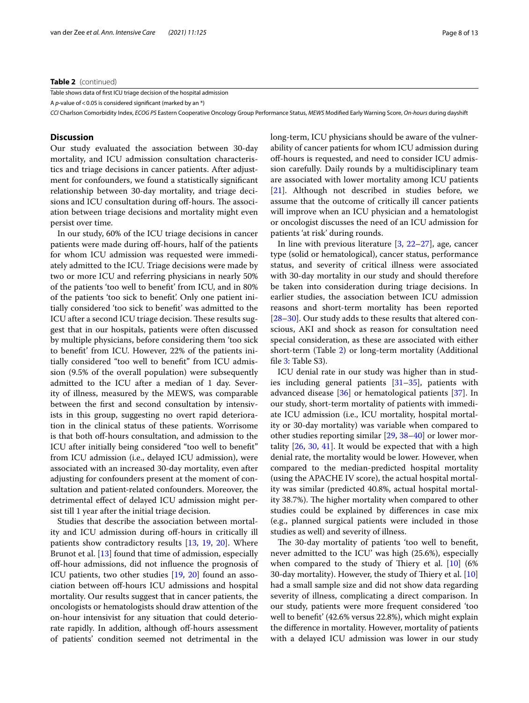### **Table 2** (continued)

Table shows data of frst ICU triage decision of the hospital admission

A *p*-value of < 0.05 is considered significant (marked by an \*)

*CCI* Charlson Comorbidity Index, *ECOG PS* Eastern Cooperative Oncology Group Performance Status, *MEWS* Modifed Early Warning Score, *On-hours* during dayshift

### **Discussion**

Our study evaluated the association between 30-day mortality, and ICU admission consultation characteristics and triage decisions in cancer patients. After adjustment for confounders, we found a statistically signifcant relationship between 30-day mortality, and triage decisions and ICU consultation during off-hours. The association between triage decisions and mortality might even persist over time.

In our study, 60% of the ICU triage decisions in cancer patients were made during of-hours, half of the patients for whom ICU admission was requested were immediately admitted to the ICU. Triage decisions were made by two or more ICU and referring physicians in nearly 50% of the patients 'too well to beneft' from ICU, and in 80% of the patients 'too sick to beneft'. Only one patient initially considered 'too sick to beneft' was admitted to the ICU after a second ICU triage decision. These results suggest that in our hospitals, patients were often discussed by multiple physicians, before considering them 'too sick to beneft' from ICU. However, 22% of the patients initially considered "too well to beneft" from ICU admission (9.5% of the overall population) were subsequently admitted to the ICU after a median of 1 day. Severity of illness, measured by the MEWS, was comparable between the frst and second consultation by intensivists in this group, suggesting no overt rapid deterioration in the clinical status of these patients. Worrisome is that both off-hours consultation, and admission to the ICU after initially being considered "too well to beneft" from ICU admission (i.e., delayed ICU admission), were associated with an increased 30-day mortality, even after adjusting for confounders present at the moment of consultation and patient-related confounders. Moreover, the detrimental efect of delayed ICU admission might persist till 1 year after the initial triage decision.

Studies that describe the association between mortality and ICU admission during off-hours in critically ill patients show contradictory results [[13,](#page-11-9) [19](#page-11-15), [20](#page-11-16)]. Where Brunot et al. [\[13\]](#page-11-9) found that time of admission, especially of-hour admissions, did not infuence the prognosis of ICU patients, two other studies [\[19](#page-11-15), [20\]](#page-11-16) found an association between off-hours ICU admissions and hospital mortality. Our results suggest that in cancer patients, the oncologists or hematologists should draw attention of the on-hour intensivist for any situation that could deteriorate rapidly. In addition, although off-hours assessment of patients' condition seemed not detrimental in the long-term, ICU physicians should be aware of the vulnerability of cancer patients for whom ICU admission during off-hours is requested, and need to consider ICU admission carefully. Daily rounds by a multidisciplinary team are associated with lower mortality among ICU patients [[21\]](#page-11-17). Although not described in studies before, we assume that the outcome of critically ill cancer patients will improve when an ICU physician and a hematologist or oncologist discusses the need of an ICU admission for patients 'at risk' during rounds.

In line with previous literature  $[3, 22-27]$  $[3, 22-27]$  $[3, 22-27]$  $[3, 22-27]$ , age, cancer type (solid or hematological), cancer status, performance status, and severity of critical illness were associated with 30-day mortality in our study and should therefore be taken into consideration during triage decisions. In earlier studies, the association between ICU admission reasons and short-term mortality has been reported [[28–](#page-11-20)[30\]](#page-11-21). Our study adds to these results that altered conscious, AKI and shock as reason for consultation need special consideration, as these are associated with either short-term (Table [2\)](#page-6-0) or long-term mortality (Additional file [3](#page-10-3): Table S3).

ICU denial rate in our study was higher than in studies including general patients [\[31](#page-12-0)[–35\]](#page-12-1), patients with advanced disease [\[36](#page-12-2)] or hematological patients [\[37](#page-12-3)]. In our study, short-term mortality of patients with immediate ICU admission (i.e., ICU mortality, hospital mortality or 30-day mortality) was variable when compared to other studies reporting similar [\[29](#page-11-22), [38–](#page-12-4)[40\]](#page-12-5) or lower mortality [[26,](#page-11-23) [30,](#page-11-21) [41](#page-12-6)]. It would be expected that with a high denial rate, the mortality would be lower. However, when compared to the median-predicted hospital mortality (using the APACHE IV score), the actual hospital mortality was similar (predicted 40.8%, actual hospital mortality 38.7%). The higher mortality when compared to other studies could be explained by diferences in case mix (e.g., planned surgical patients were included in those studies as well) and severity of illness.

The 30-day mortality of patients 'too well to benefit, never admitted to the ICU' was high (25.6%), especially when compared to the study of Thiery et al.  $[10]$  $[10]$  (6%) 30-day mortality). However, the study of Thiery et al.  $[10]$  $[10]$  $[10]$ had a small sample size and did not show data regarding severity of illness, complicating a direct comparison. In our study, patients were more frequent considered 'too well to beneft' (42.6% versus 22.8%), which might explain the diference in mortality. However, mortality of patients with a delayed ICU admission was lower in our study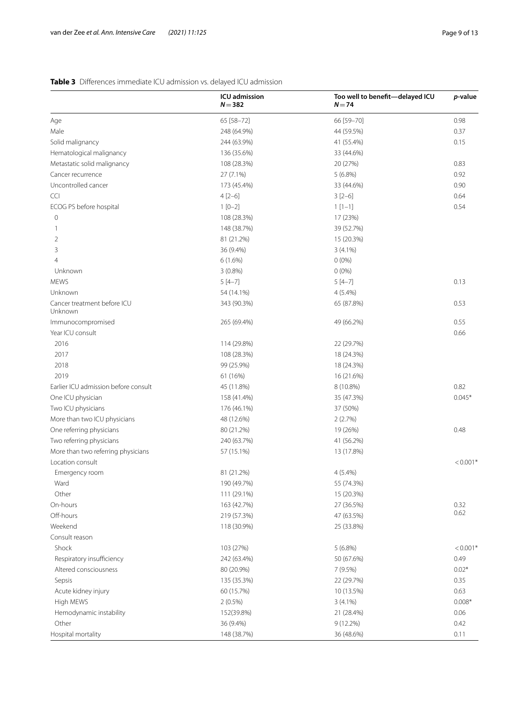# <span id="page-8-0"></span>**Table 3** Diferences immediate ICU admission vs. delayed ICU admission

|                                        | ICU admission<br>$N = 382$ | Too well to benefit-delayed ICU<br>$N = 74$ | <i>p</i> -value |
|----------------------------------------|----------------------------|---------------------------------------------|-----------------|
| Age                                    | 65 [58-72]                 | 66 [59-70]                                  | 0.98            |
| Male                                   | 248 (64.9%)                | 44 (59.5%)                                  | 0.37            |
| Solid malignancy                       | 244 (63.9%)                | 41 (55.4%)                                  | 0.15            |
| Hematological malignancy               | 136 (35.6%)                | 33 (44.6%)                                  |                 |
| Metastatic solid malignancy            | 108 (28.3%)                | 20 (27%)                                    | 0.83            |
| Cancer recurrence                      | 27 (7.1%)                  | $5(6.8\%)$                                  | 0.92            |
| Uncontrolled cancer                    | 173 (45.4%)                | 33 (44.6%)                                  | 0.90            |
| <b>CCI</b>                             | $4[2-6]$                   | $3[2-6]$                                    | 0.64            |
| ECOG PS before hospital                | $1[0-2]$                   | $1[1-1]$                                    | 0.54            |
| $\mathbf 0$                            | 108 (28.3%)                | 17 (23%)                                    |                 |
| $\mathbf{1}$                           | 148 (38.7%)                | 39 (52.7%)                                  |                 |
| 2                                      | 81 (21.2%)                 | 15 (20.3%)                                  |                 |
| 3                                      | 36 (9.4%)                  | $3(4.1\%)$                                  |                 |
| 4                                      | $6(1.6\%)$                 | $0(0\%)$                                    |                 |
| Unknown                                | $3(0.8\%)$                 | $0(0\%)$                                    |                 |
| <b>MEWS</b>                            | $5[4-7]$                   | $5[4-7]$                                    | 0.13            |
| Unknown                                | 54 (14.1%)                 | $4(5.4\%)$                                  |                 |
| Cancer treatment before ICU<br>Unknown | 343 (90.3%)                | 65 (87.8%)                                  | 0.53            |
| Immunocompromised                      | 265 (69.4%)                | 49 (66.2%)                                  | 0.55            |
| Year ICU consult                       |                            |                                             | 0.66            |
| 2016                                   | 114 (29.8%)                | 22 (29.7%)                                  |                 |
| 2017                                   | 108 (28.3%)                | 18 (24.3%)                                  |                 |
| 2018                                   | 99 (25.9%)                 | 18 (24.3%)                                  |                 |
| 2019                                   | 61 (16%)                   | 16 (21.6%)                                  |                 |
| Earlier ICU admission before consult   | 45 (11.8%)                 | 8 (10.8%)                                   | 0.82            |
| One ICU physician                      | 158 (41.4%)                | 35 (47.3%)                                  | $0.045*$        |
| Two ICU physicians                     | 176 (46.1%)                | 37 (50%)                                    |                 |
| More than two ICU physicians           | 48 (12.6%)                 | 2(2.7%)                                     |                 |
| One referring physicians               | 80 (21.2%)                 | 19 (26%)                                    | 0.48            |
| Two referring physicians               | 240 (63.7%)                | 41 (56.2%)                                  |                 |
| More than two referring physicians     | 57 (15.1%)                 | 13 (17.8%)                                  |                 |
| Location consult                       |                            |                                             | $< 0.001*$      |
| Emergency room                         | 81 (21.2%)                 | $4(5.4\%)$                                  |                 |
| Ward                                   | 190 (49.7%)                | 55 (74.3%)                                  |                 |
| Other                                  | 111 (29.1%)                | 15 (20.3%)                                  |                 |
| On-hours                               | 163 (42.7%)                | 27 (36.5%)                                  | 0.32            |
| Off-hours                              | 219 (57.3%)                | 47 (63.5%)                                  | 0.62            |
| Weekend                                | 118 (30.9%)                | 25 (33.8%)                                  |                 |
| Consult reason                         |                            |                                             |                 |
| Shock                                  | 103 (27%)                  | $5(6.8\%)$                                  | $< 0.001*$      |
| Respiratory insufficiency              | 242 (63.4%)                | 50 (67.6%)                                  | 0.49            |
| Altered consciousness                  | 80 (20.9%)                 | 7 (9.5%)                                    | $0.02*$         |
| Sepsis                                 | 135 (35.3%)                | 22 (29.7%)                                  | 0.35            |
| Acute kidney injury                    | 60 (15.7%)                 | 10 (13.5%)                                  | 0.63            |
| High MEWS                              | $2(0.5\%)$                 | $3(4.1\%)$                                  | $0.008*$        |
| Hemodynamic instability                | 152(39.8%)                 | 21 (28.4%)                                  | 0.06            |
| Other                                  | 36 (9.4%)                  | $9(12.2\%)$                                 | 0.42            |
| Hospital mortality                     | 148 (38.7%)                | 36 (48.6%)                                  | 0.11            |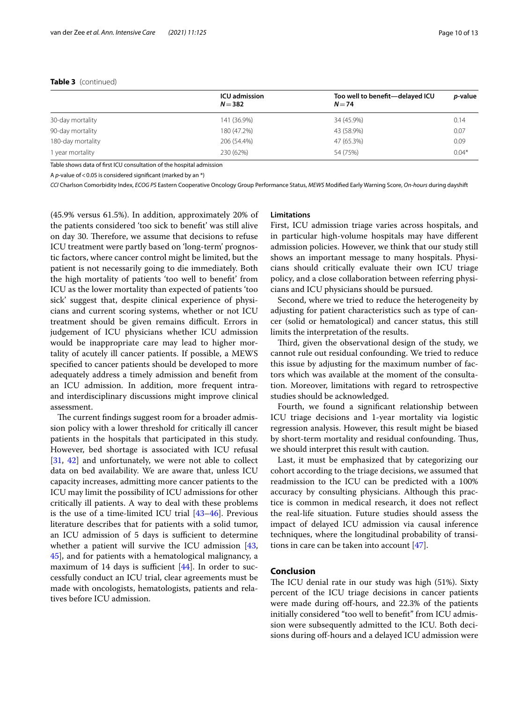# **Table 3** (continued)

|                   | <b>ICU</b> admission<br>$N = 382$ | Too well to benefit-delayed ICU<br>$N = 74$ | <i>p</i> -value |
|-------------------|-----------------------------------|---------------------------------------------|-----------------|
| 30-day mortality  | 141 (36.9%)                       | 34 (45.9%)                                  | 0.14            |
| 90-day mortality  | 180 (47.2%)                       | 43 (58.9%)                                  | 0.07            |
| 180-day mortality | 206 (54.4%)                       | 47 (65.3%)                                  | 0.09            |
| 1 year mortality  | 230 (62%)                         | 54 (75%)                                    | $0.04*$         |

Table shows data of frst ICU consultation of the hospital admission

A *p*-value of < 0.05 is considered significant (marked by an \*)

*CCI* Charlson Comorbidity Index, *ECOG PS* Eastern Cooperative Oncology Group Performance Status, *MEWS* Modifed Early Warning Score, *On-hours* during dayshift

(45.9% versus 61.5%). In addition, approximately 20% of the patients considered 'too sick to beneft' was still alive on day 30. Therefore, we assume that decisions to refuse ICU treatment were partly based on 'long-term' prognostic factors, where cancer control might be limited, but the patient is not necessarily going to die immediately. Both the high mortality of patients 'too well to beneft' from ICU as the lower mortality than expected of patients 'too sick' suggest that, despite clinical experience of physicians and current scoring systems, whether or not ICU treatment should be given remains difficult. Errors in judgement of ICU physicians whether ICU admission would be inappropriate care may lead to higher mortality of acutely ill cancer patients. If possible, a MEWS specifed to cancer patients should be developed to more adequately address a timely admission and beneft from an ICU admission. In addition, more frequent intraand interdisciplinary discussions might improve clinical assessment.

The current findings suggest room for a broader admission policy with a lower threshold for critically ill cancer patients in the hospitals that participated in this study. However, bed shortage is associated with ICU refusal [[31,](#page-12-0) [42\]](#page-12-7) and unfortunately, we were not able to collect data on bed availability. We are aware that, unless ICU capacity increases, admitting more cancer patients to the ICU may limit the possibility of ICU admissions for other critically ill patients. A way to deal with these problems is the use of a time-limited ICU trial [\[43](#page-12-8)[–46](#page-12-9)]. Previous literature describes that for patients with a solid tumor, an ICU admission of 5 days is sufficient to determine whether a patient will survive the ICU admission [\[43](#page-12-8), [45\]](#page-12-10), and for patients with a hematological malignancy, a maximum of 14 days is sufficient  $[44]$  $[44]$ . In order to successfully conduct an ICU trial, clear agreements must be made with oncologists, hematologists, patients and relatives before ICU admission.

# **Limitations**

First, ICU admission triage varies across hospitals, and in particular high-volume hospitals may have diferent admission policies. However, we think that our study still shows an important message to many hospitals. Physicians should critically evaluate their own ICU triage policy, and a close collaboration between referring physicians and ICU physicians should be pursued.

Second, where we tried to reduce the heterogeneity by adjusting for patient characteristics such as type of cancer (solid or hematological) and cancer status, this still limits the interpretation of the results.

Third, given the observational design of the study, we cannot rule out residual confounding. We tried to reduce this issue by adjusting for the maximum number of factors which was available at the moment of the consultation. Moreover, limitations with regard to retrospective studies should be acknowledged.

Fourth, we found a signifcant relationship between ICU triage decisions and 1-year mortality via logistic regression analysis. However, this result might be biased by short-term mortality and residual confounding. Thus, we should interpret this result with caution.

Last, it must be emphasized that by categorizing our cohort according to the triage decisions, we assumed that readmission to the ICU can be predicted with a 100% accuracy by consulting physicians. Although this practice is common in medical research, it does not refect the real-life situation. Future studies should assess the impact of delayed ICU admission via causal inference techniques, where the longitudinal probability of transitions in care can be taken into account [\[47\]](#page-12-12).

# **Conclusion**

The ICU denial rate in our study was high (51%). Sixty percent of the ICU triage decisions in cancer patients were made during off-hours, and 22.3% of the patients initially considered "too well to beneft" from ICU admission were subsequently admitted to the ICU. Both decisions during off-hours and a delayed ICU admission were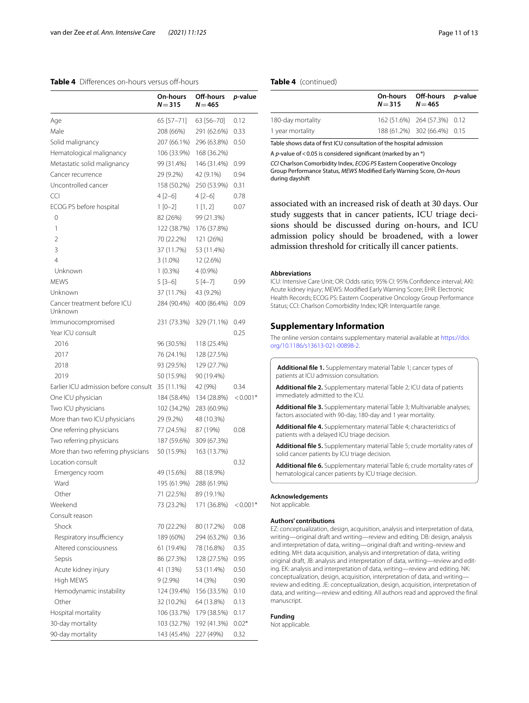# <span id="page-10-2"></span>**Table 4** Differences on-hours versus off-hours

|                                        | On-hours<br>$N = 315$ | Off-hours<br>$N = 465$  | <i>p</i> -value |
|----------------------------------------|-----------------------|-------------------------|-----------------|
| Age                                    | 65 [57-71]            | 63 [56-70]              | 0.12            |
| Male                                   | 208 (66%)             | 291 (62.6%)             | 0.33            |
| Solid malignancy                       | 207 (66.1%)           | 296 (63.8%)             | 0.50            |
| Hematological malignancy               | 106 (33.9%)           | 168 (36.2%)             |                 |
| Metastatic solid malignancy            | 99 (31.4%)            | 146 (31.4%)             | 0.99            |
| Cancer recurrence                      | 29 (9.2%)             | 42 (9.1%)               | 0.94            |
| Uncontrolled cancer                    | 158 (50.2%)           | 250 (53.9%)             | 0.31            |
| <b>CCI</b>                             | 4 [2-6]               | $4[2-6]$                | 0.78            |
| ECOG PS before hospital                | $1[0-2]$              | 1[1,2]                  | 0.07            |
| 0                                      | 82 (26%)              | 99 (21.3%)              |                 |
| 1                                      | 122 (38.7%)           | 176 (37.8%)             |                 |
| 2                                      | 70 (22.2%)            | 121 (26%)               |                 |
| 3                                      | 37 (11.7%)            | 53 (11.4%)              |                 |
| 4                                      | $3(1.0\%)$            | 12 (2.6%)               |                 |
| Unknown                                | $1(0.3\%)$            | $4(0.9\%)$              |                 |
| <b>MEWS</b>                            | $5 [3 - 6]$           | $5[4-7]$                | 0.99            |
| Unknown                                | 37 (11.7%)            | 43 (9.2%)               |                 |
| Cancer treatment before ICU<br>Unknown |                       | 284 (90.4%) 400 (86.4%) | 0.09            |
| Immunocompromised                      | 231 (73.3%)           | 329 (71.1%)             | 0.49            |
| Year ICU consult                       |                       |                         | 0.25            |
| 2016                                   | 96 (30.5%)            | 118 (25.4%)             |                 |
| 2017                                   | 76 (24.1%)            | 128 (27.5%)             |                 |
| 2018                                   | 93 (29.5%)            | 129 (27.7%)             |                 |
| 2019                                   | 50 (15.9%)            | 90 (19.4%)              |                 |
| Earlier ICU admission before consult   | 35 (11.1%)            | 42 (9%)                 | 0.34            |
| One ICU physician                      | 184 (58.4%)           | 134 (28.8%)             | $< 0.001*$      |
| Two ICU physicians                     | 102 (34.2%)           | 283 (60.9%)             |                 |
| More than two ICU physicians           | 29 (9.2%)             | 48 (10.3%)              |                 |
| One referring physicians               | 77 (24.5%)            | 87 (19%)                | 0.08            |
| Two referring physicians               | 187 (59.6%)           | 309 (67.3%)             |                 |
| More than two referring physicians     | 50 (15.9%)            | 163 (13.7%)             |                 |
| Location consult                       |                       |                         | 0.32            |
| Emergency room                         | 49 (15.6%)            | 88 (18.9%)              |                 |
| Ward                                   | 195 (61.9%)           | 288 (61.9%)             |                 |
| Other                                  | 71 (22.5%)            | 89 (19.1%)              |                 |
| Weekend                                | 73 (23.2%)            | 171 (36.8%)             | $< 0.001*$      |
| Consult reason                         |                       |                         |                 |
| Shock                                  | 70 (22.2%)            | 80 (17.2%)              | 0.08            |
| Respiratory insufficiency              | 189 (60%)             | 294 (63.2%)             | 0.36            |
| Altered consciousness                  | 61 (19.4%)            | 78 (16.8%)              | 0.35            |
| Sepsis                                 | 86 (27.3%)            | 128 (27.5%)             | 0.95            |
| Acute kidney injury                    | 41 (13%)              | 53 (11.4%)              | 0.50            |
| High MEWS                              | $9(2.9\%)$            | 14 (3%)                 | 0.90            |
| Hemodynamic instability                | 124 (39.4%)           | 156 (33.5%)             | 0.10            |
| Other                                  | 32 (10.2%)            | 64 (13.8%)              | 0.13            |
| Hospital mortality                     | 106 (33.7%)           | 179 (38.5%)             | 0.17            |
| 30-day mortality                       | 103 (32.7%)           | 192 (41.3%)             | $0.02*$         |
| 90-day mortality                       | 143 (45.4%)           | 227 (49%)               | 0.32            |

# **Table 4** (continued)

|                   | $N = 315$ $N = 465$ | On-hours Off-hours p-value   |  |
|-------------------|---------------------|------------------------------|--|
| 180-day mortality |                     | 162 (51.6%) 264 (57.3%) 0.12 |  |
| 1 year mortality  |                     | 188 (61.2%) 302 (66.4%) 0.15 |  |

Table shows data of frst ICU consultation of the hospital admission

A *p*-value of < 0.05 is considered significant (marked by an \*)

*CCI* Charlson Comorbidity Index, *ECOG PS* Eastern Cooperative Oncology Group Performance Status, *MEWS* Modifed Early Warning Score, *On-hours* during dayshift

associated with an increased risk of death at 30 days. Our study suggests that in cancer patients, ICU triage decisions should be discussed during on-hours, and ICU admission policy should be broadened, with a lower admission threshold for critically ill cancer patients.

#### **Abbreviations**

ICU: Intensive Care Unit; OR: Odds ratio; 95% CI: 95% Confdence interval; AKI: Acute kidney injury; MEWS: Modifed Early Warning Score; EHR: Electronic Health Records; ECOG PS: Eastern Cooperative Oncology Group Performance Status; CCI: Charlson Comorbidity Index; IQR: Interquartile range.

# **Supplementary Information**

The online version contains supplementary material available at [https://doi.](https://doi.org/10.1186/s13613-021-00898-2) [org/10.1186/s13613-021-00898-2](https://doi.org/10.1186/s13613-021-00898-2).

<span id="page-10-1"></span><span id="page-10-0"></span>**Additional fle 1.** Supplementary material Table 1; cancer types of patients at ICU admission consultation.

<span id="page-10-3"></span>**Additional fle 2.** Supplementary material Table 2; ICU data of patients immediately admitted to the ICU.

<span id="page-10-4"></span>**Additional fle 3.** Supplementary material Table 3; Multivariable analyses; factors associated with 90-day, 180-day and 1 year mortality.

<span id="page-10-5"></span>**Additional fle 4.** Supplementary material Table 4; characteristics of patients with a delayed ICU triage decision.

<span id="page-10-6"></span>**Additional fle 5.** Supplementary material Table 5; crude mortality rates of solid cancer patients by ICU triage decision.

**Additional fle 6.** Supplementary material Table 6; crude mortality rates of hematological cancer patients by ICU triage decision.

### **Acknowledgements**

Not applicable.

## **Authors' contributions**

EZ: conceptualization, design, acquisition, analysis and interpretation of data, writing—original draft and writing—review and editing. DB: design, analysis and interpretation of data, writing—original draft and writing–review and editing. MH: data acquisition, analysis and interpretation of data, writing original draft, JB: analysis and interpretation of data, writing—review and editing. EK: analysis and interpretation of data, writing—review and editing. NK: conceptualization, design, acquisition, interpretation of data, and writing review and editing. JE: conceptualization, design, acquisition, interpretation of data, and writing—review and editing. All authors read and approved the fnal manuscript.

### **Funding**

Not applicable.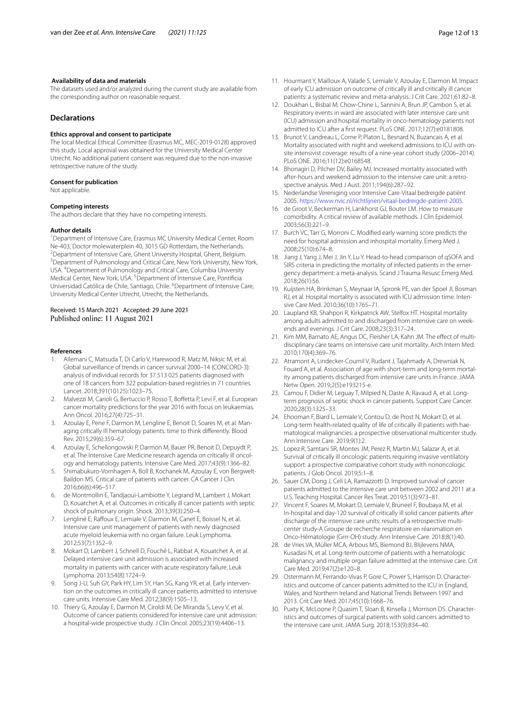### **Availability of data and materials**

The datasets used and/or analyzed during the current study are available from the corresponding author on reasonable request.

# **Declarations**

### **Ethics approval and consent to participate**

The local Medical Ethical Committee (Erasmus MC, MEC-2019-0128) approved this study. Local approval was obtained for the University Medical Center Utrecht. No additional patient consent was required due to the non-invasive retrospective nature of the study.

#### **Consent for publication**

Not applicable.

#### **Competing interests**

The authors declare that they have no competing interests.

#### **Author details**

<sup>1</sup> Department of Intensive Care, Erasmus MC University Medical Center, Room Ne-403, Doctor molewaterplein 40, 3015 GD Rotterdam, the Netherlands. 2 <sup>2</sup> Department of Intensive Care, Ghent University Hospital, Ghent, Belgium. <sup>3</sup> Department of Pulmonology and Critical Care, New York University, New York, USA. 4 Department of Pulmonology and Critical Care, Columbia University Medical Center, New York, USA.<sup>5</sup> Department of Intensive Care, Pontificia Universidad Católica de Chile, Santiago, Chile. <sup>6</sup> Department of Intensive Care, University Medical Center Utrecht, Utrecht, the Netherlands.

### Received: 15 March 2021 Accepted: 29 June 2021 Published online: 11 August 2021

#### **References**

- <span id="page-11-0"></span>1. Allemani C, Matsuda T, Di Carlo V, Harewood R, Matz M, Niksic M, et al. Global surveillance of trends in cancer survival 2000–14 (CONCORD-3): analysis of individual records for 37 513 025 patients diagnosed with one of 18 cancers from 322 population-based registries in 71 countries. Lancet. 2018;391(10125):1023–75.
- <span id="page-11-1"></span>2. Malvezzi M, Carioli G, Bertuccio P, Rosso T, Boffetta P, Levi F, et al. European cancer mortality predictions for the year 2016 with focus on leukaemias. Ann Oncol. 2016;27(4):725–31.
- <span id="page-11-2"></span>3. Azoulay E, Pene F, Darmon M, Lengline E, Benoit D, Soares M, et al. Managing critically Ill hematology patients: time to think diferently. Blood Rev. 2015;29(6):359–67.
- <span id="page-11-3"></span>4. Azoulay E, Schellongowski P, Darmon M, Bauer PR, Benoit D, Depuydt P, et al. The Intensive Care Medicine research agenda on critically ill oncology and hematology patients. Intensive Care Med. 2017;43(9):1366–82.
- <span id="page-11-4"></span>5. Shimabukuro-Vornhagen A, Boll B, Kochanek M, Azoulay E, von Bergwelt-Baildon MS. Critical care of patients with cancer. CA Cancer J Clin. 2016;66(6):496–517.
- <span id="page-11-5"></span>6. de Montmollin E, Tandjaoui-Lambiotte Y, Legrand M, Lambert J, Mokart D, Kouatchet A, et al. Outcomes in critically ill cancer patients with septic shock of pulmonary origin. Shock. 2013;39(3):250–4.
- 7. Lengliné E, Raffoux E, Lemiale V, Darmon M, Canet E, Boissel N, et al. Intensive care unit management of patients with newly diagnosed acute myeloid leukemia with no organ failure. Leuk Lymphoma. 2012;53(7):1352–9.
- 8. Mokart D, Lambert J, Schnell D, Fouché L, Rabbat A, Kouatchet A, et al. Delayed intensive care unit admission is associated with increased mortality in patients with cancer with acute respiratory failure. Leuk Lymphoma. 2013;54(8):1724–9.
- <span id="page-11-7"></span>9. Song J-U, Suh GY, Park HY, Lim SY, Han SG, Kang YR, et al. Early intervention on the outcomes in critically ill cancer patients admitted to intensive care units. Intensive Care Med. 2012;38(9):1505–13.
- <span id="page-11-8"></span>10. Thiery G, Azoulay E, Darmon M, Ciroldi M, De Miranda S, Levy V, et al. Outcome of cancer patients considered for intensive care unit admission: a hospital-wide prospective study. J Clin Oncol. 2005;23(19):4406–13.
- 11. Hourmant Y, Mailloux A, Valade S, Lemiale V, Azoulay E, Darmon M. Impact of early ICU admission on outcome of critically ill and critically ill cancer patients: a systematic review and meta-analysis. J Crit Care. 2021;61:82–8.
- <span id="page-11-6"></span>12. Doukhan L, Bisbal M, Chow-Chine L, Sannini A, Brun JP, Cambon S, et al. Respiratory events in ward are associated with later intensive care unit (ICU) admission and hospital mortality in onco-hematology patients not admitted to ICU after a frst request. PLoS ONE. 2017;12(7):e0181808.
- <span id="page-11-9"></span>13. Brunot V, Landreau L, Corne P, Platon L, Besnard N, Buzancais A, et al. Mortality associated with night and weekend admissions to ICU with onsite intensivist coverage: results of a nine-year cohort study (2006–2014). PLoS ONE. 2016;11(12):e0168548.
- <span id="page-11-10"></span>14. Bhonagiri D, Pilcher DV, Bailey MJ. Increased mortality associated with after-hours and weekend admission to the intensive care unit: a retrospective analysis. Med J Aust. 2011;194(6):287–92.
- <span id="page-11-11"></span>15. Nederlandse Vereniging voor Intensive Care-Vitaal bedreigde patiënt 2005. [https://www.nvic.nl/richtlijnen/vitaal-bedreigde-patient-2005.](https://www.nvic.nl/richtlijnen/vitaal-bedreigde-patient-2005)
- <span id="page-11-12"></span>16. de Groot V, Beckerman H, Lankhorst GJ, Bouter LM. How to measure comorbidity. A critical review of available methods. J Clin Epidemiol. 2003;56(3):221–9.
- <span id="page-11-13"></span>17. Burch VC, Tarr G, Morroni C. Modifed early warning score predicts the need for hospital admission and inhospital mortality. Emerg Med J. 2008;25(10):674–8.
- <span id="page-11-14"></span>18. Jiang J, Yang J, Mei J, Jin Y, Lu Y. Head-to-head comparison of qSOFA and SIRS criteria in predicting the mortality of infected patients in the emergency department: a meta-analysis. Scand J Trauma Resusc Emerg Med. 2018;26(1):56.
- <span id="page-11-15"></span>19. Kuijsten HA, Brinkman S, Meynaar IA, Spronk PE, van der Spoel JI, Bosman RJ, et al. Hospital mortality is associated with ICU admission time. Intensive Care Med. 2010;36(10):1765–71.
- <span id="page-11-16"></span>20. Laupland KB, Shahpori R, Kirkpatrick AW, Stelfox HT. Hospital mortality among adults admitted to and discharged from intensive care on weekends and evenings. J Crit Care. 2008;23(3):317–24.
- <span id="page-11-17"></span>21. Kim MM, Barnato AE, Angus DC, Fleisher LA, Kahn JM. The efect of multidisciplinary care teams on intensive care unit mortality. Arch Intern Med. 2010;170(4):369–76.
- <span id="page-11-18"></span>22. Atramont A, Lindecker-Cournil V, Rudant J, Tajahmady A, Drewniak N, Fouard A, et al. Association of age with short-term and long-term mortality among patients discharged from intensive care units in France. JAMA Netw Open. 2019;2(5):e193215-e.
- 23. Camou F, Didier M, Leguay T, Milpied N, Daste A, Ravaud A, et al. Longterm prognosis of septic shock in cancer patients. Support Care Cancer. 2020;28(3):1325–33.
- 24. Ehooman F, Biard L, Lemiale V, Contou D, de Prost N, Mokart D, et al. Long-term health-related quality of life of critically ill patients with haematological malignancies: a prospective observational multicenter study. Ann Intensive Care. 2019;9(1):2.
- 25. Lopez R, Samtani SR, Montes JM, Perez R, Martin MJ, Salazar A, et al. Survival of critically ill oncologic patients requiring invasive ventilatory support: a prospective comparative cohort study with nononcologic patients. J Glob Oncol. 2019;5:1–8.
- <span id="page-11-23"></span>26. Sauer CM, Dong J, Celi LA, Ramazzotti D. Improved survival of cancer patients admitted to the intensive care unit between 2002 and 2011 at a U.S. Teaching Hospital. Cancer Res Treat. 2019;51(3):973–81.
- <span id="page-11-19"></span>27. Vincent F, Soares M, Mokart D, Lemiale V, Bruneel F, Boubaya M, et al. In-hospital and day-120 survival of critically ill solid cancer patients after discharge of the intensive care units: results of a retrospective multicenter study-A Groupe de recherche respiratoire en réanimation en Onco-Hématologie (Grrr-OH) study. Ann Intensive Care. 2018;8(1):40.
- <span id="page-11-20"></span>28. de Vries VA, Müller MCA, Arbous MS, Biemond BJ, Blijlevens NMA, Kusadasi N, et al. Long-term outcome of patients with a hematologic malignancy and multiple organ failure admitted at the intensive care. Crit Care Med. 2019;47(2):e120–8.
- <span id="page-11-22"></span>29. Ostermann M, Ferrando-Vivas P, Gore C, Power S, Harrison D. Characteristics and outcome of cancer patients admitted to the ICU in England, Wales, and Northern Ireland and National Trends Between 1997 and 2013. Crit Care Med. 2017;45(10):1668–76.
- <span id="page-11-21"></span>30. Puxty K, McLoone P, Quasim T, Sloan B, Kinsella J, Morrison DS. Characteristics and outcomes of surgical patients with solid cancers admitted to the intensive care unit. JAMA Surg. 2018;153(9):834–40.